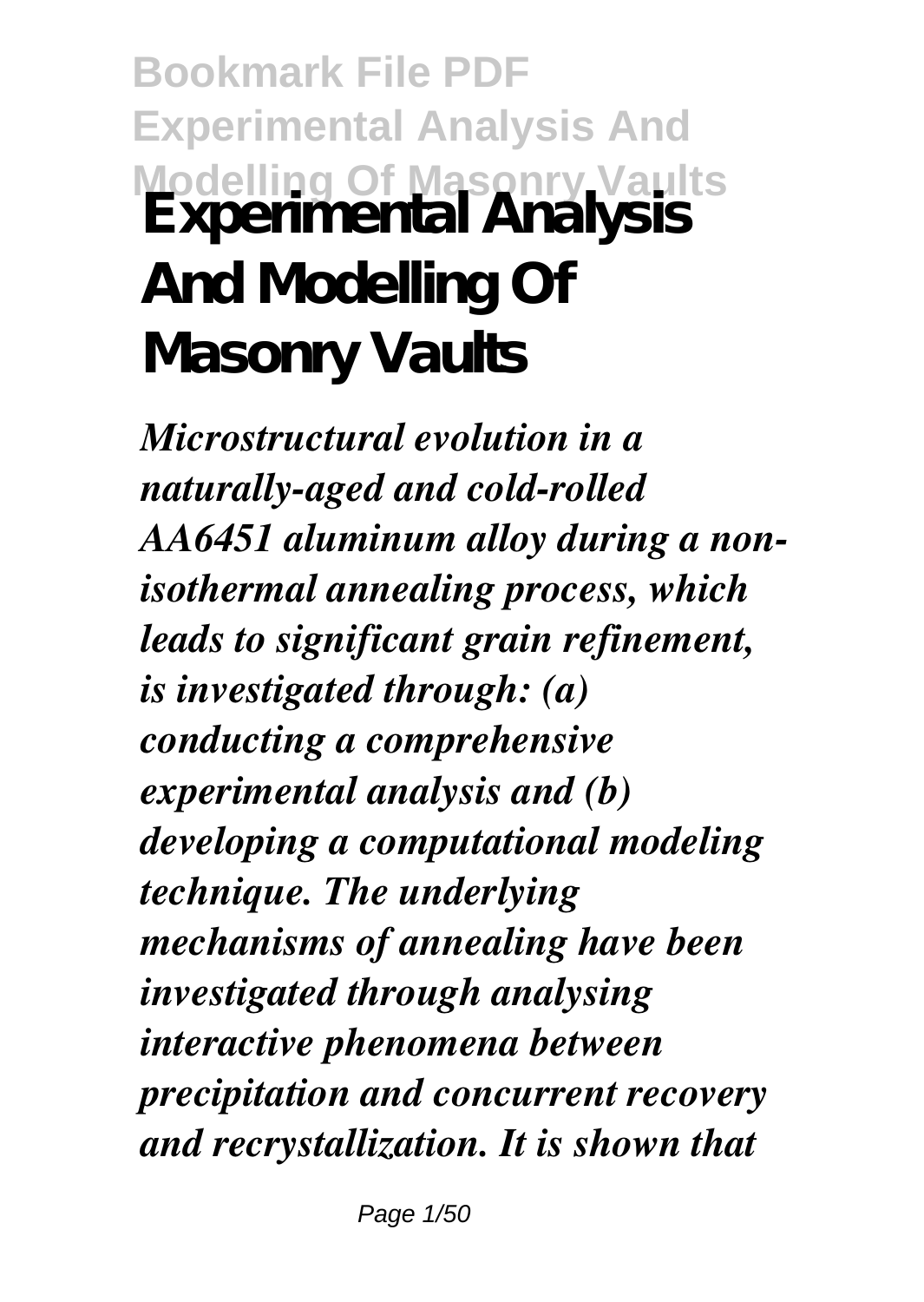**Bookmark File PDF Experimental Analysis And Modelling Of Masonry Vaults Experimental Analysis And Modelling Of Masonry Vaults**

*Microstructural evolution in a naturally-aged and cold-rolled AA6451 aluminum alloy during a nonisothermal annealing process, which leads to significant grain refinement, is investigated through: (a) conducting a comprehensive experimental analysis and (b) developing a computational modeling technique. The underlying mechanisms of annealing have been investigated through analysing interactive phenomena between precipitation and concurrent recovery and recrystallization. It is shown that*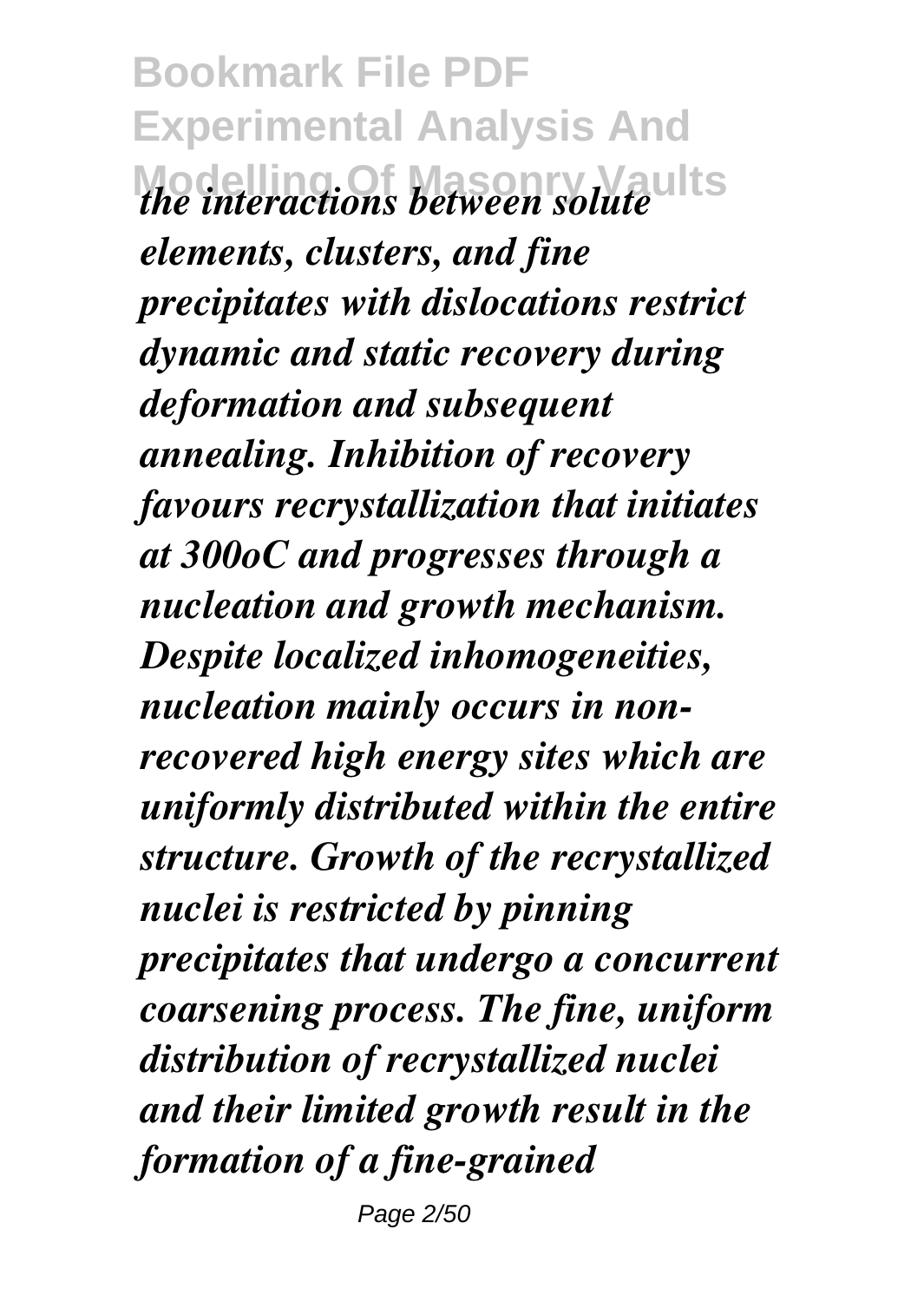**Bookmark File PDF Experimental Analysis And Modelling Of Masonry Vaults** *the interactions between solute elements, clusters, and fine precipitates with dislocations restrict dynamic and static recovery during deformation and subsequent annealing. Inhibition of recovery favours recrystallization that initiates at 300oC and progresses through a nucleation and growth mechanism. Despite localized inhomogeneities, nucleation mainly occurs in nonrecovered high energy sites which are uniformly distributed within the entire structure. Growth of the recrystallized nuclei is restricted by pinning precipitates that undergo a concurrent coarsening process. The fine, uniform distribution of recrystallized nuclei and their limited growth result in the formation of a fine-grained*

Page 2/50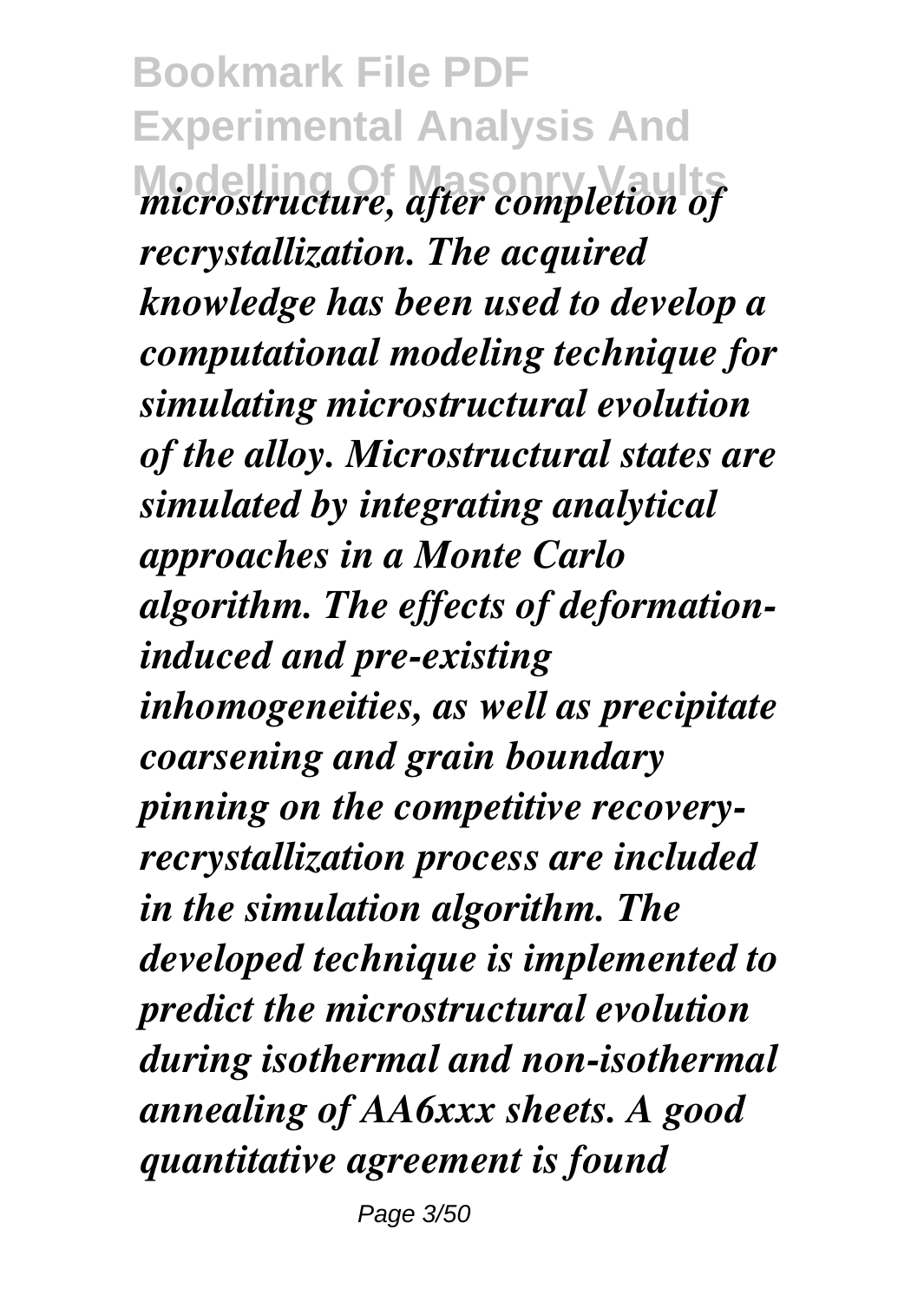**Bookmark File PDF Experimental Analysis And Modelling Of Masonry Vaults** *microstructure, after completion of recrystallization. The acquired knowledge has been used to develop a computational modeling technique for simulating microstructural evolution of the alloy. Microstructural states are simulated by integrating analytical approaches in a Monte Carlo algorithm. The effects of deformationinduced and pre-existing inhomogeneities, as well as precipitate coarsening and grain boundary pinning on the competitive recoveryrecrystallization process are included in the simulation algorithm. The developed technique is implemented to predict the microstructural evolution during isothermal and non-isothermal annealing of AA6xxx sheets. A good quantitative agreement is found*

Page 3/50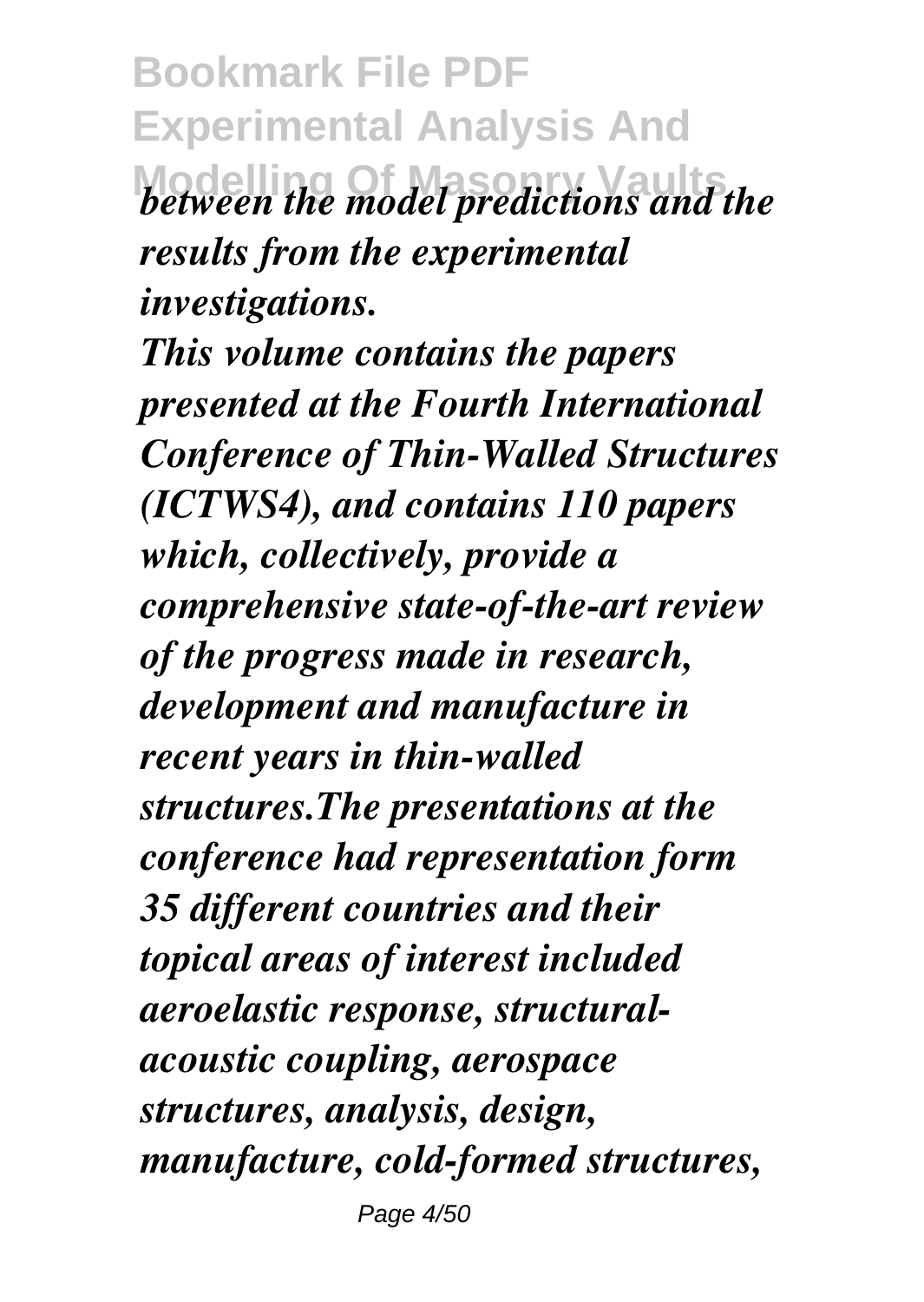**Bookmark File PDF Experimental Analysis And** *Model predictions and the model predictions and the results from the experimental investigations.*

*This volume contains the papers presented at the Fourth International Conference of Thin-Walled Structures (ICTWS4), and contains 110 papers which, collectively, provide a comprehensive state-of-the-art review of the progress made in research, development and manufacture in recent years in thin-walled structures.The presentations at the conference had representation form 35 different countries and their topical areas of interest included aeroelastic response, structuralacoustic coupling, aerospace structures, analysis, design, manufacture, cold-formed structures,* Page 4/50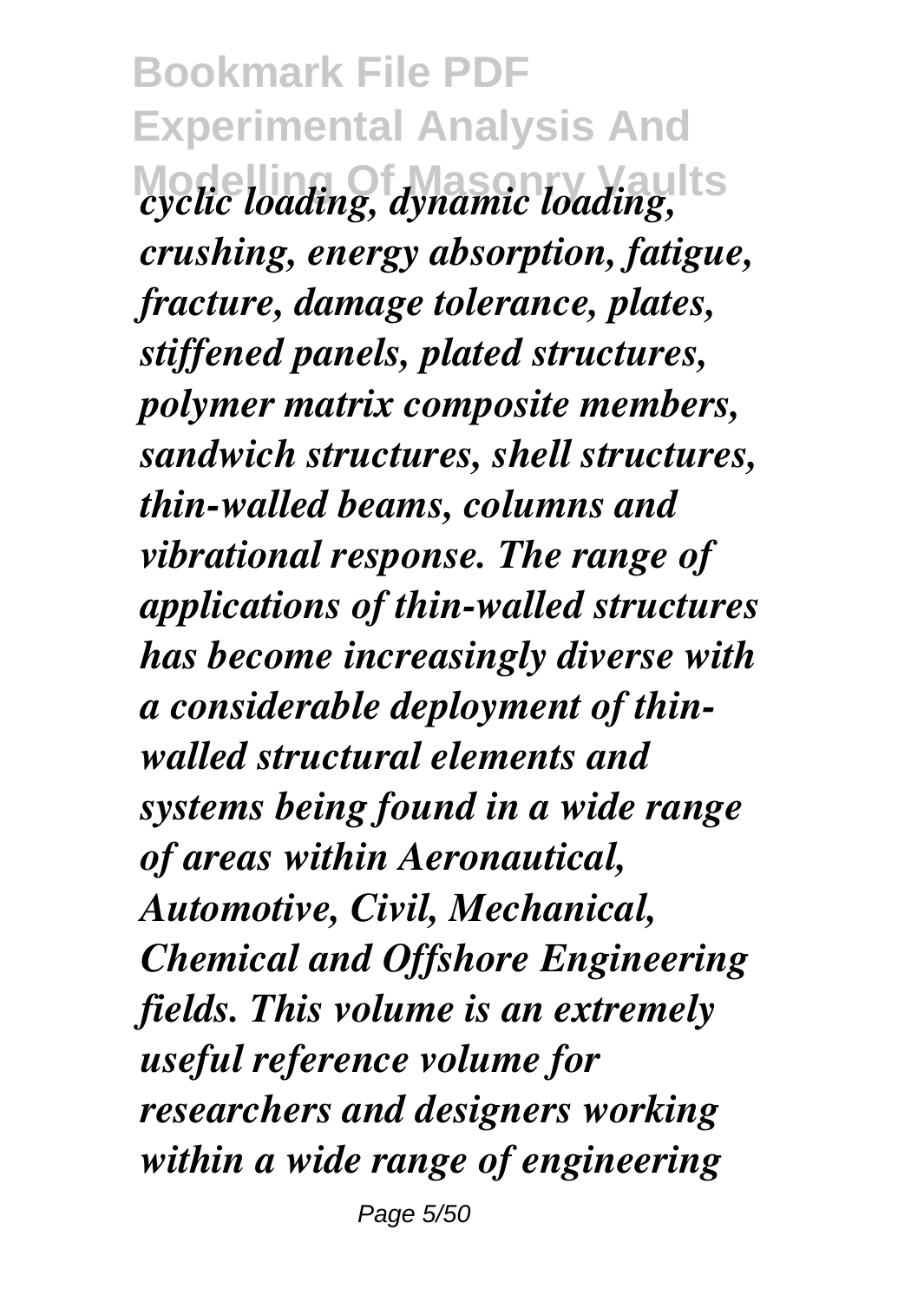**Bookmark File PDF Experimental Analysis And Modelling Of Masonry Vaults** *cyclic loading, dynamic loading, crushing, energy absorption, fatigue, fracture, damage tolerance, plates, stiffened panels, plated structures, polymer matrix composite members, sandwich structures, shell structures, thin-walled beams, columns and vibrational response. The range of applications of thin-walled structures has become increasingly diverse with a considerable deployment of thinwalled structural elements and systems being found in a wide range of areas within Aeronautical, Automotive, Civil, Mechanical, Chemical and Offshore Engineering fields. This volume is an extremely useful reference volume for researchers and designers working within a wide range of engineering*

Page 5/50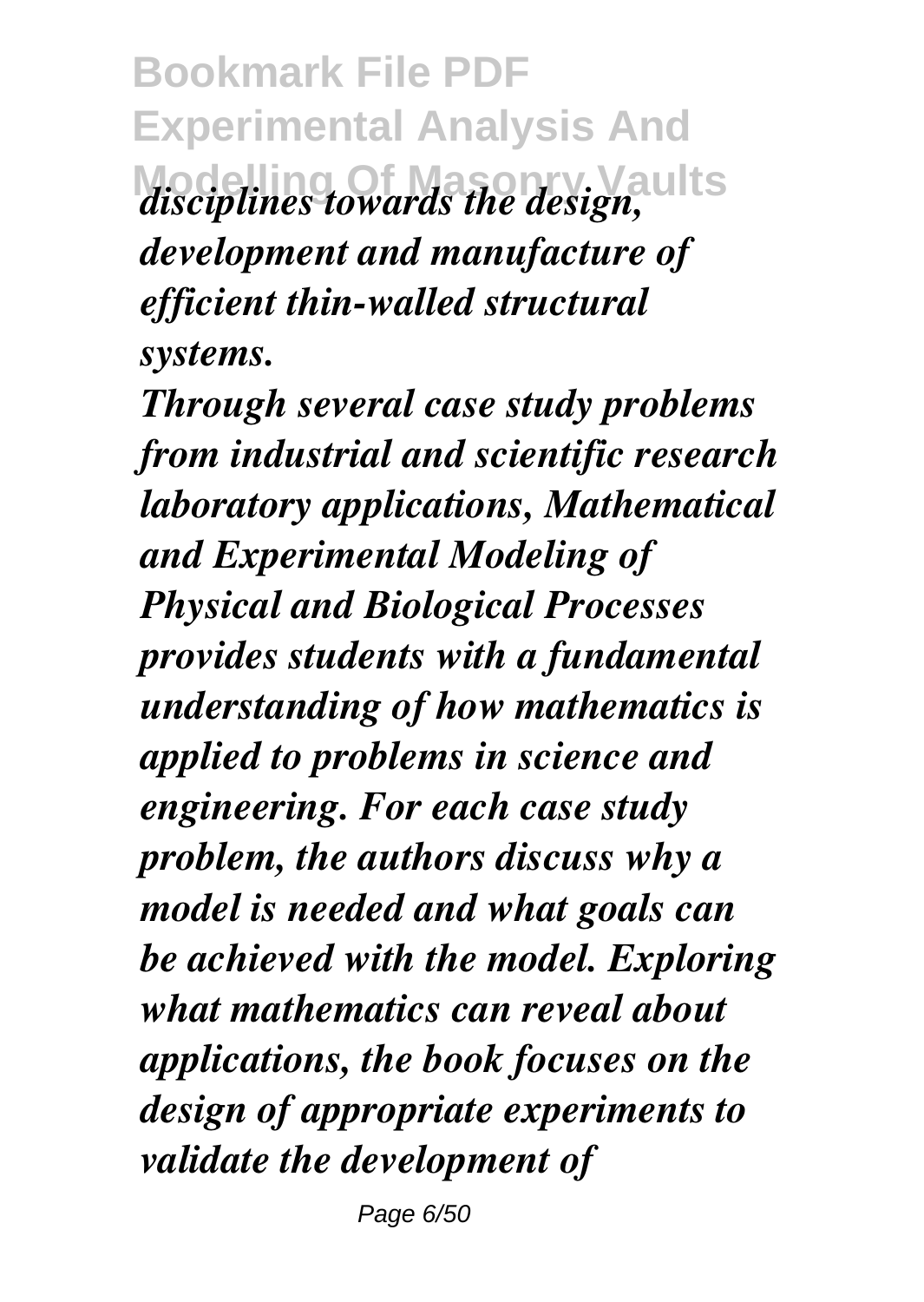**Bookmark File PDF Experimental Analysis And Modelling Of Masonry Vaults** *disciplines towards the design, development and manufacture of efficient thin-walled structural systems.*

*Through several case study problems from industrial and scientific research laboratory applications, Mathematical and Experimental Modeling of Physical and Biological Processes provides students with a fundamental understanding of how mathematics is applied to problems in science and engineering. For each case study problem, the authors discuss why a model is needed and what goals can be achieved with the model. Exploring what mathematics can reveal about applications, the book focuses on the design of appropriate experiments to validate the development of*

Page 6/50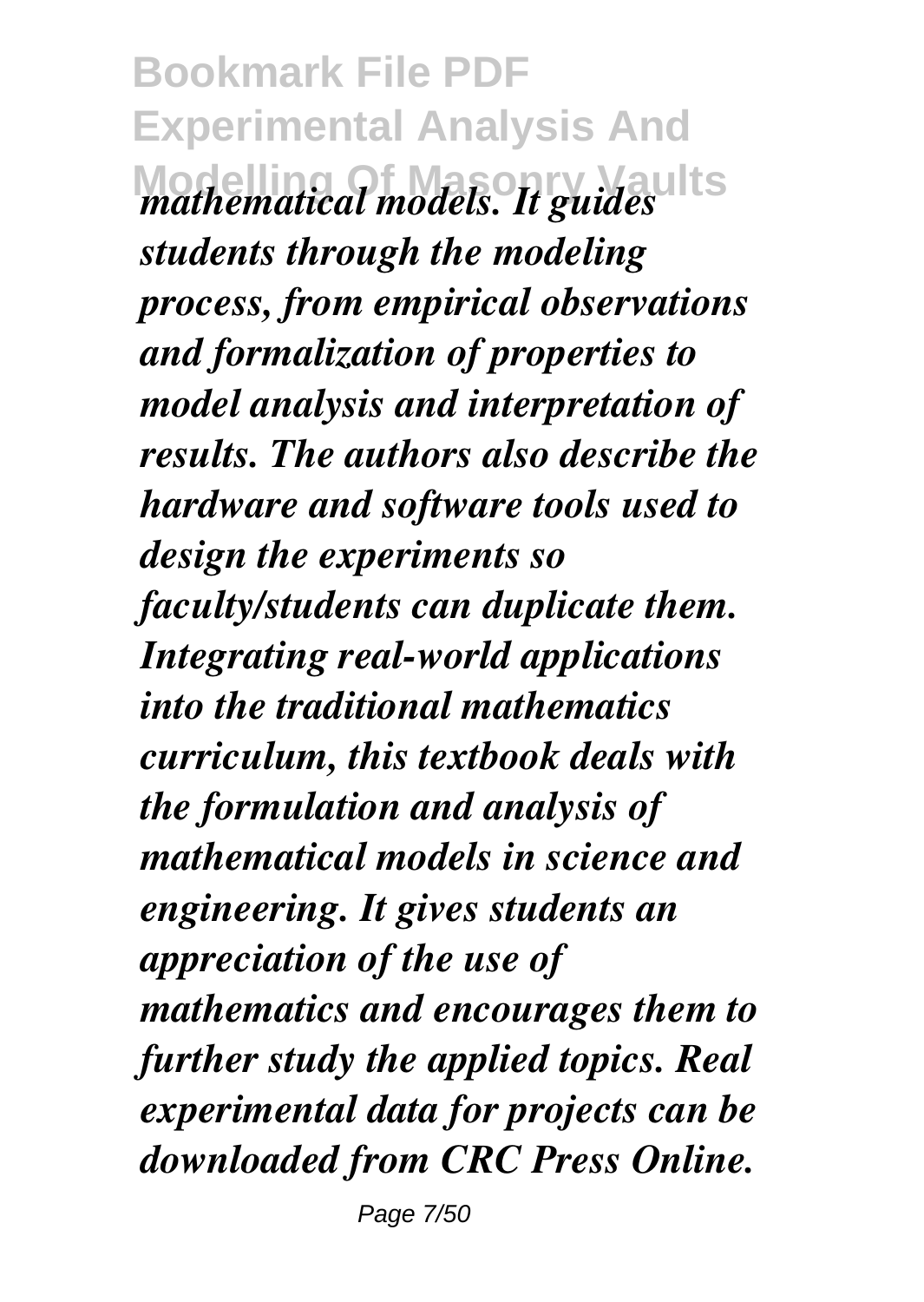**Bookmark File PDF Experimental Analysis And Modelling Of Masonry Vaults** *mathematical models. It guides students through the modeling process, from empirical observations and formalization of properties to model analysis and interpretation of results. The authors also describe the hardware and software tools used to design the experiments so faculty/students can duplicate them. Integrating real-world applications into the traditional mathematics curriculum, this textbook deals with the formulation and analysis of mathematical models in science and engineering. It gives students an appreciation of the use of mathematics and encourages them to further study the applied topics. Real experimental data for projects can be downloaded from CRC Press Online.*

Page 7/50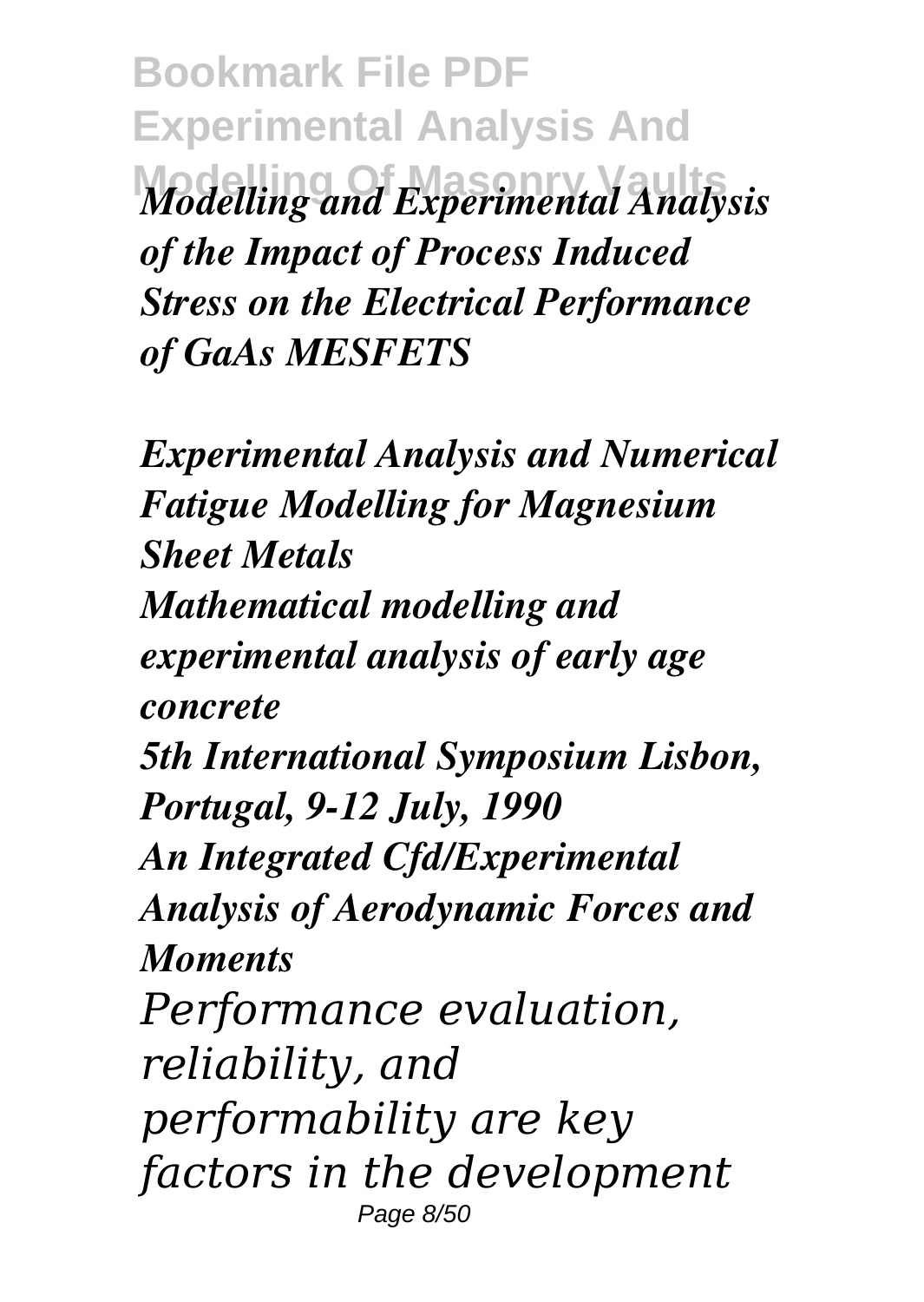**Bookmark File PDF Experimental Analysis And** *Modelling and Experimental Analysis of the Impact of Process Induced Stress on the Electrical Performance of GaAs MESFETS*

*Experimental Analysis and Numerical Fatigue Modelling for Magnesium Sheet Metals Mathematical modelling and experimental analysis of early age concrete 5th International Symposium Lisbon, Portugal, 9-12 July, 1990 An Integrated Cfd/Experimental Analysis of Aerodynamic Forces and Moments Performance evaluation, reliability, and performability are key factors in the development* Page 8/50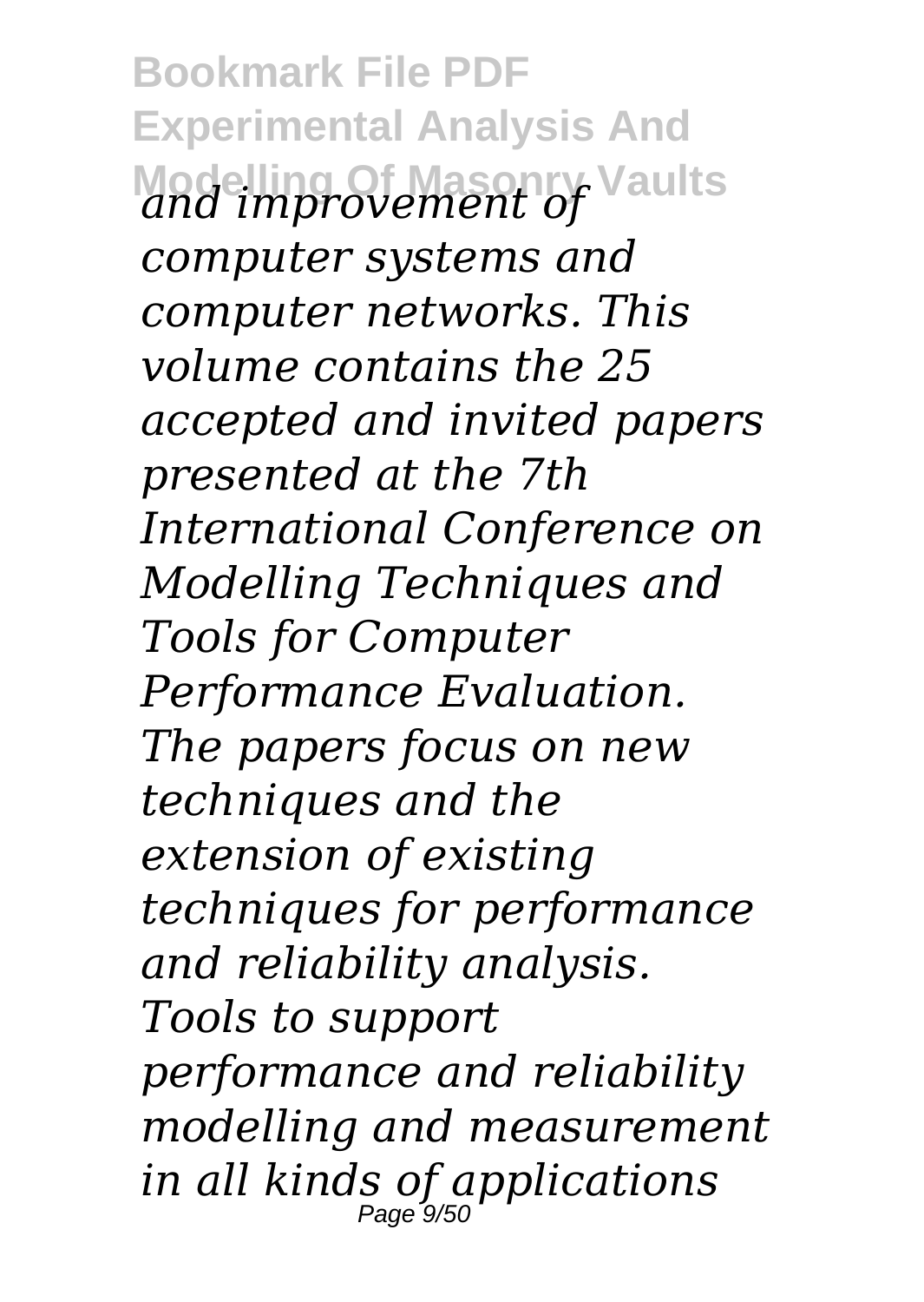**Bookmark File PDF Experimental Analysis And Modelling Of Masonry Vaults** *and improvement of computer systems and computer networks. This volume contains the 25 accepted and invited papers presented at the 7th International Conference on Modelling Techniques and Tools for Computer Performance Evaluation. The papers focus on new techniques and the extension of existing techniques for performance and reliability analysis. Tools to support performance and reliability modelling and measurement in all kinds of applications* Page<sup>-</sup>9/50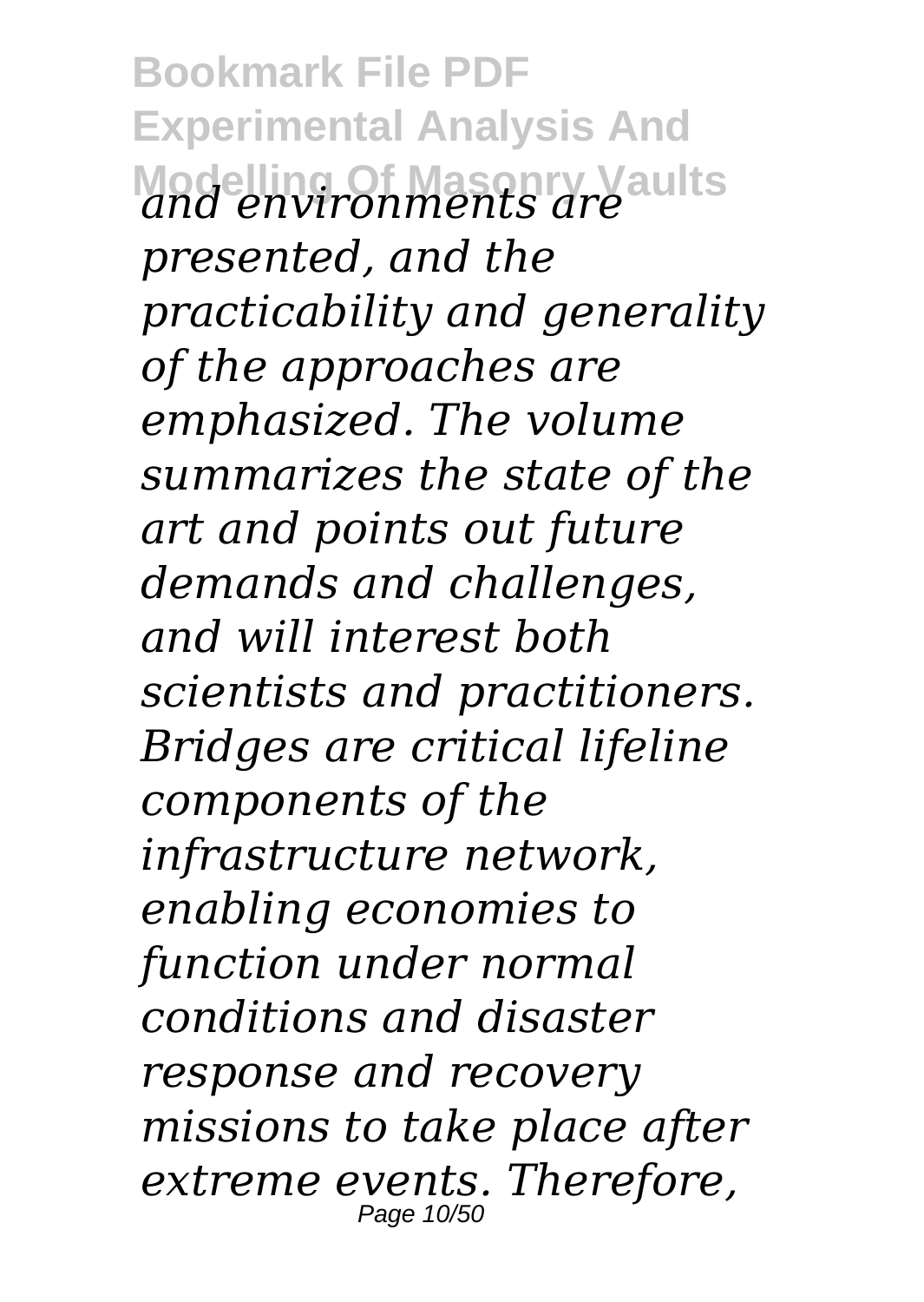**Bookmark File PDF Experimental Analysis And Modelling Of Masonry Vaults** *and environments are presented, and the practicability and generality of the approaches are emphasized. The volume summarizes the state of the art and points out future demands and challenges, and will interest both scientists and practitioners. Bridges are critical lifeline components of the infrastructure network, enabling economies to function under normal conditions and disaster response and recovery missions to take place after extreme events. Therefore,* Page 10/50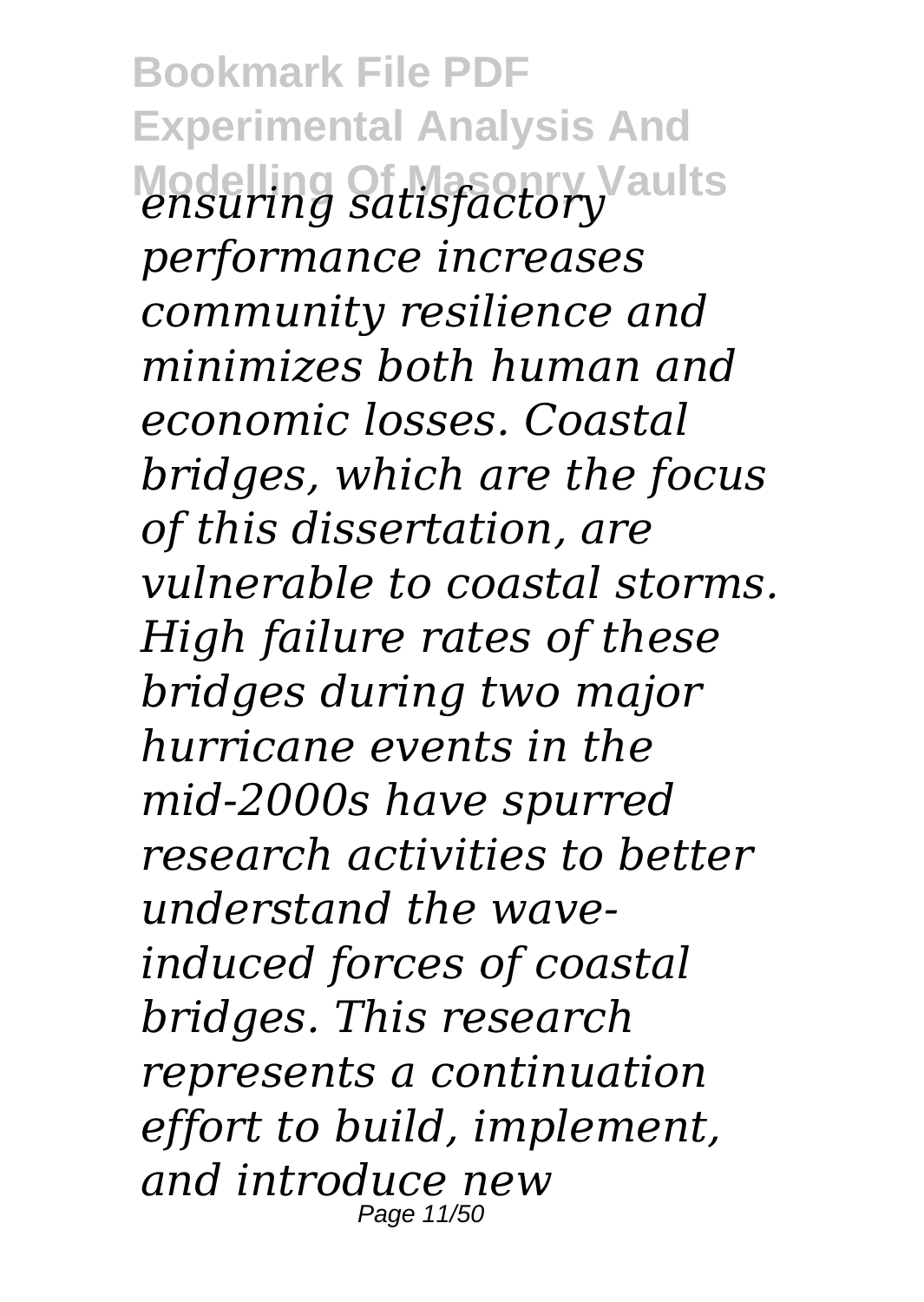**Bookmark File PDF Experimental Analysis And Modelling Of Masonry Vaults** *ensuring satisfactory performance increases community resilience and minimizes both human and economic losses. Coastal bridges, which are the focus of this dissertation, are vulnerable to coastal storms. High failure rates of these bridges during two major hurricane events in the mid-2000s have spurred research activities to better understand the waveinduced forces of coastal bridges. This research represents a continuation effort to build, implement, and introduce new* Page 11/50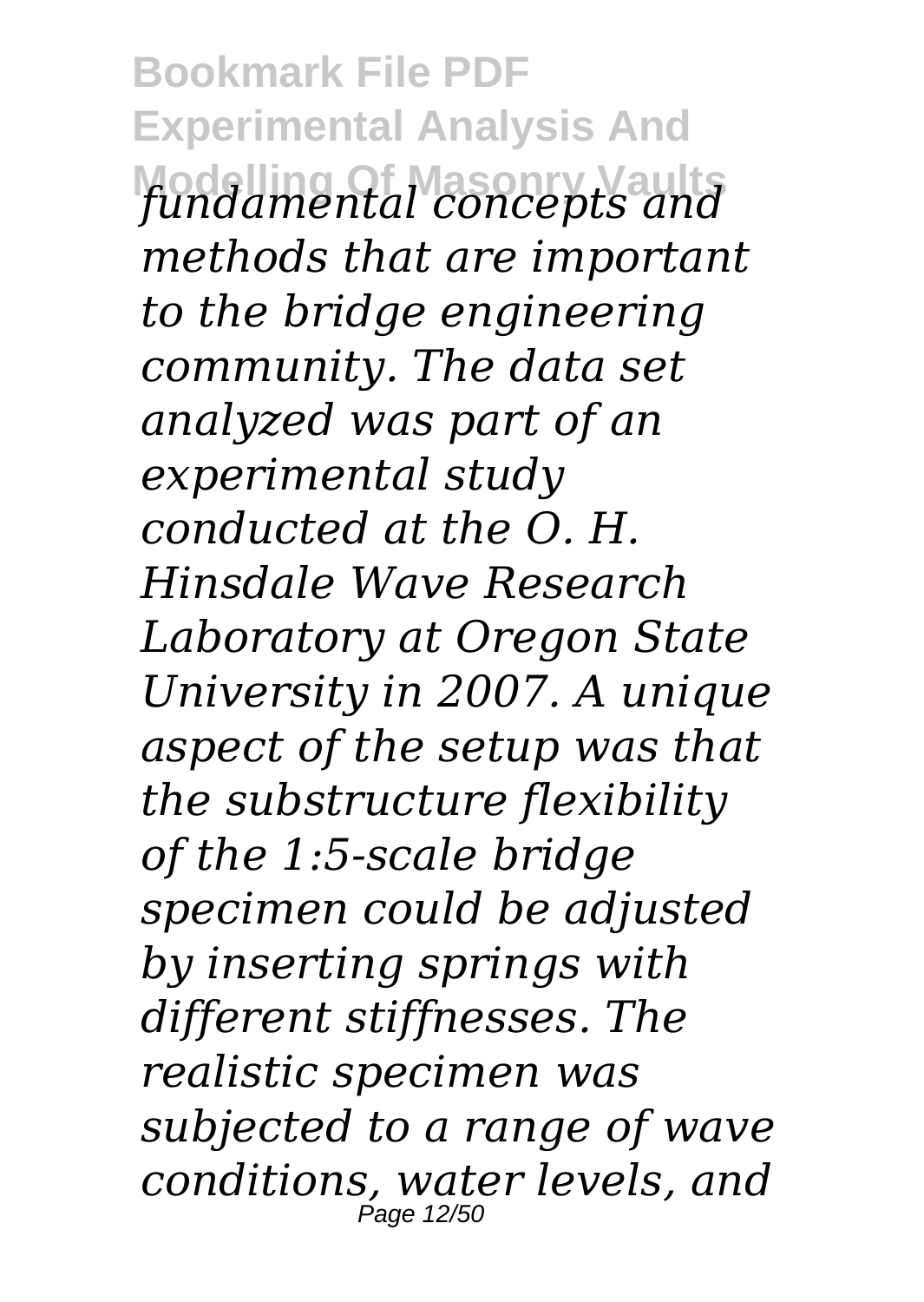**Bookmark File PDF Experimental Analysis And Modelling Of Masonry Vaults** *fundamental concepts and methods that are important to the bridge engineering community. The data set analyzed was part of an experimental study conducted at the O. H. Hinsdale Wave Research Laboratory at Oregon State University in 2007. A unique aspect of the setup was that the substructure flexibility of the 1:5-scale bridge specimen could be adjusted by inserting springs with different stiffnesses. The realistic specimen was subjected to a range of wave conditions, water levels, and* Page 12/5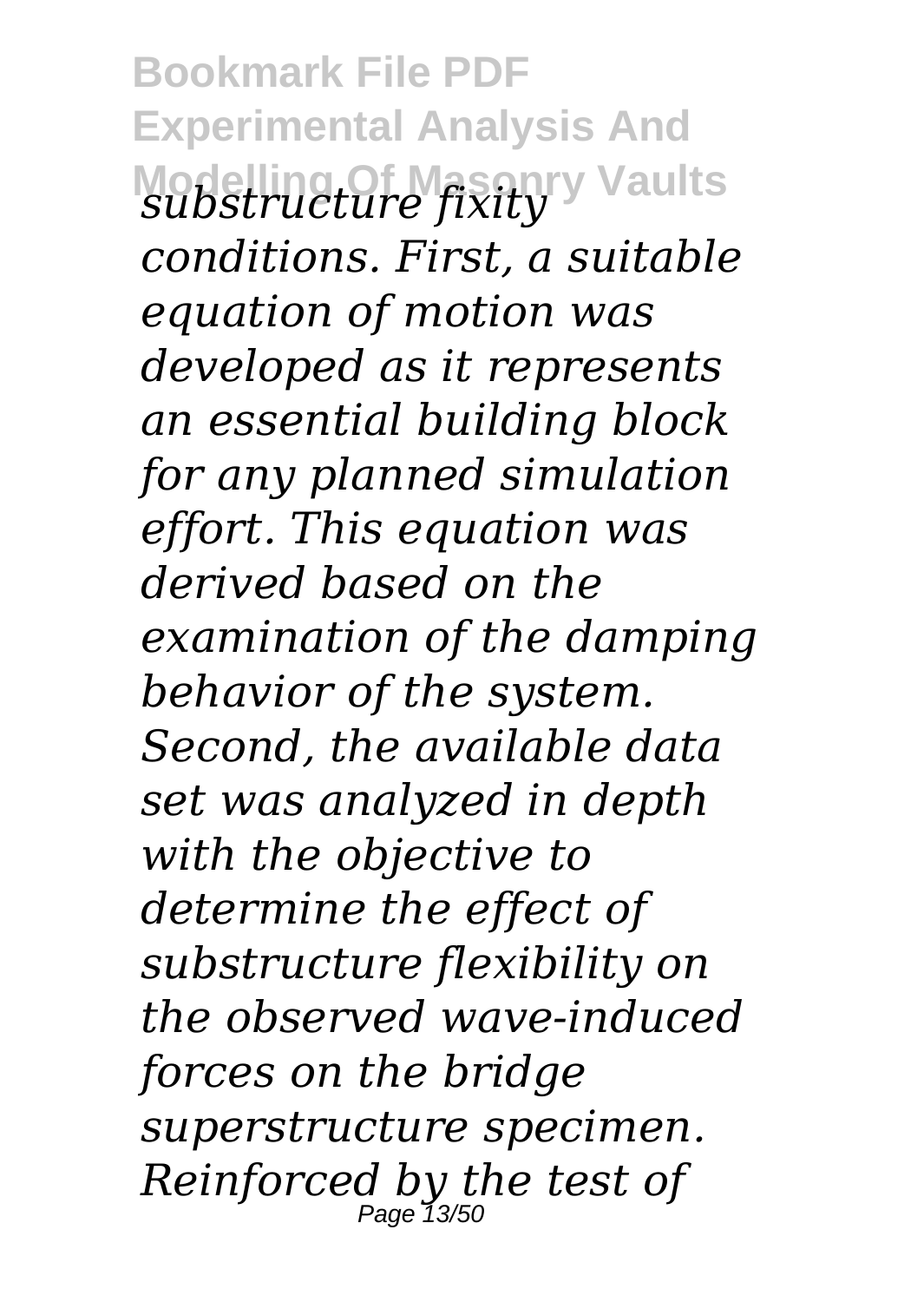**Bookmark File PDF Experimental Analysis And Modelling Of Masonry Vaults** *substructure fixity conditions. First, a suitable equation of motion was developed as it represents an essential building block for any planned simulation effort. This equation was derived based on the examination of the damping behavior of the system. Second, the available data set was analyzed in depth with the objective to determine the effect of substructure flexibility on the observed wave-induced forces on the bridge superstructure specimen. Reinforced by the test of* Page  $13/5$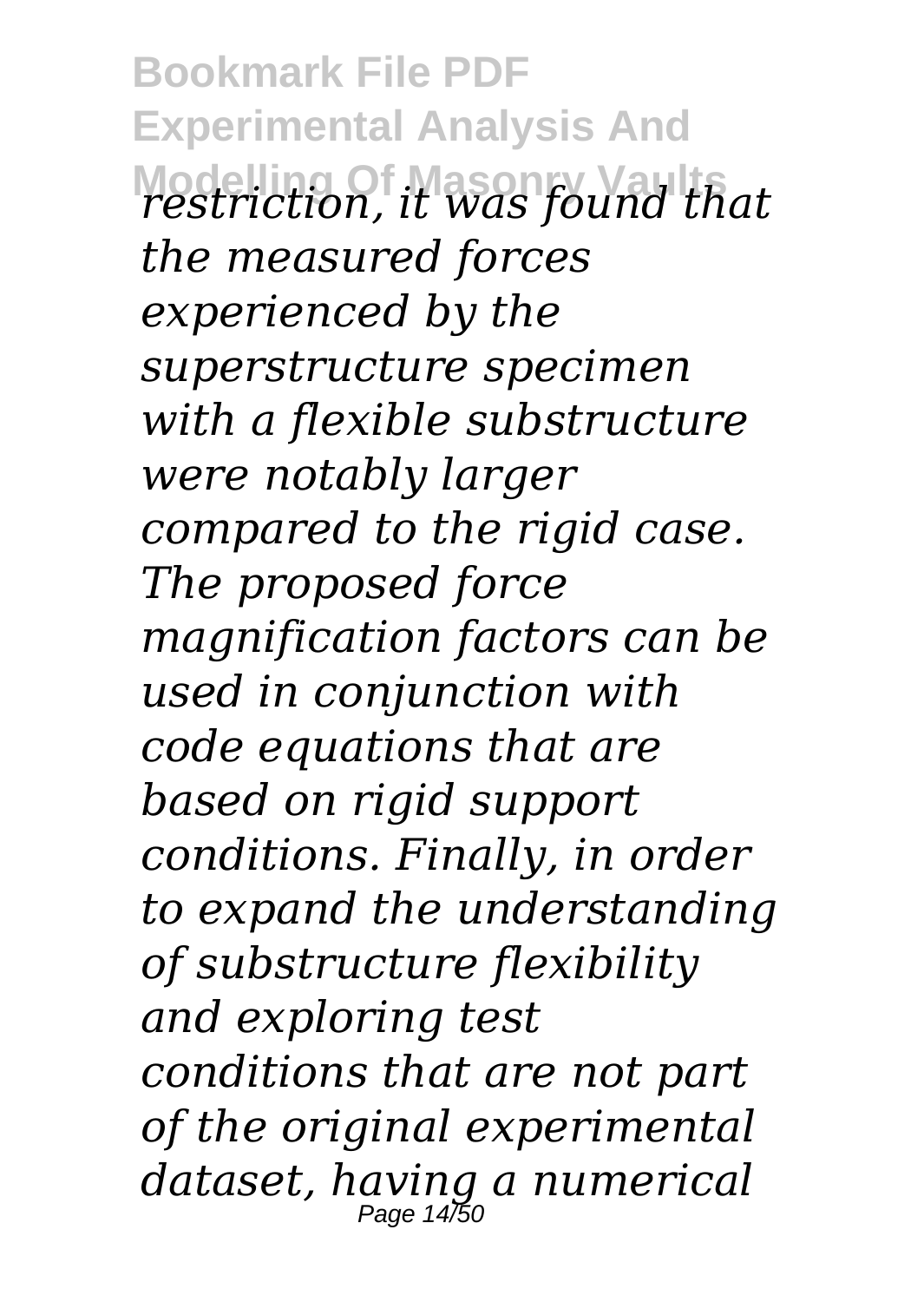**Bookmark File PDF Experimental Analysis And Modelling Of Masonry Vaults** *restriction, it was found that the measured forces experienced by the superstructure specimen with a flexible substructure were notably larger compared to the rigid case. The proposed force magnification factors can be used in conjunction with code equations that are based on rigid support conditions. Finally, in order to expand the understanding of substructure flexibility and exploring test conditions that are not part of the original experimental dataset, having a numerical* Page 14/50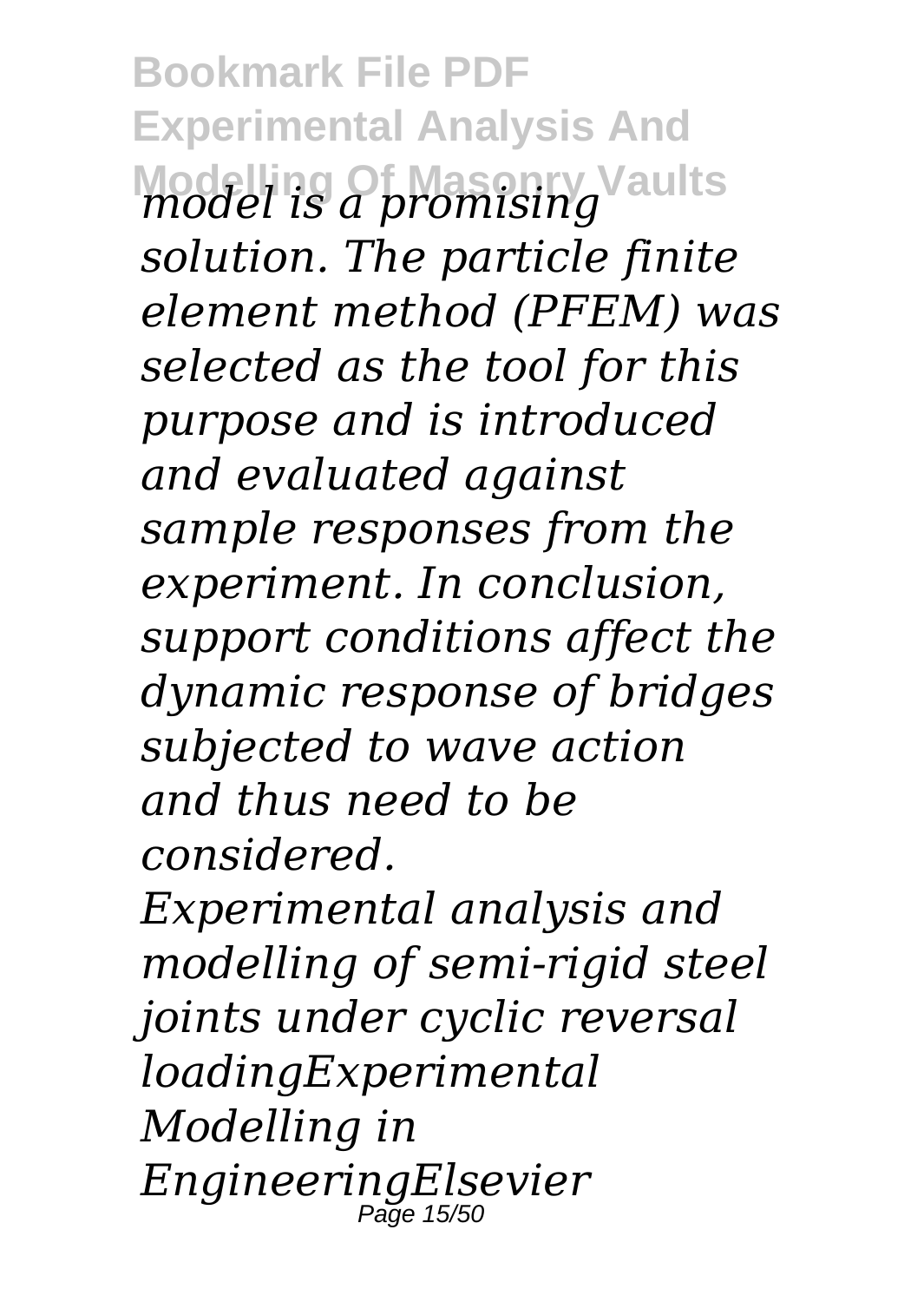**Bookmark File PDF Experimental Analysis And Modelling Of Masonry Vaults** *model is a promising solution. The particle finite element method (PFEM) was selected as the tool for this purpose and is introduced and evaluated against sample responses from the experiment. In conclusion, support conditions affect the dynamic response of bridges subjected to wave action and thus need to be considered.*

*Experimental analysis and modelling of semi-rigid steel joints under cyclic reversal loadingExperimental Modelling in EngineeringElsevier* Page 15/50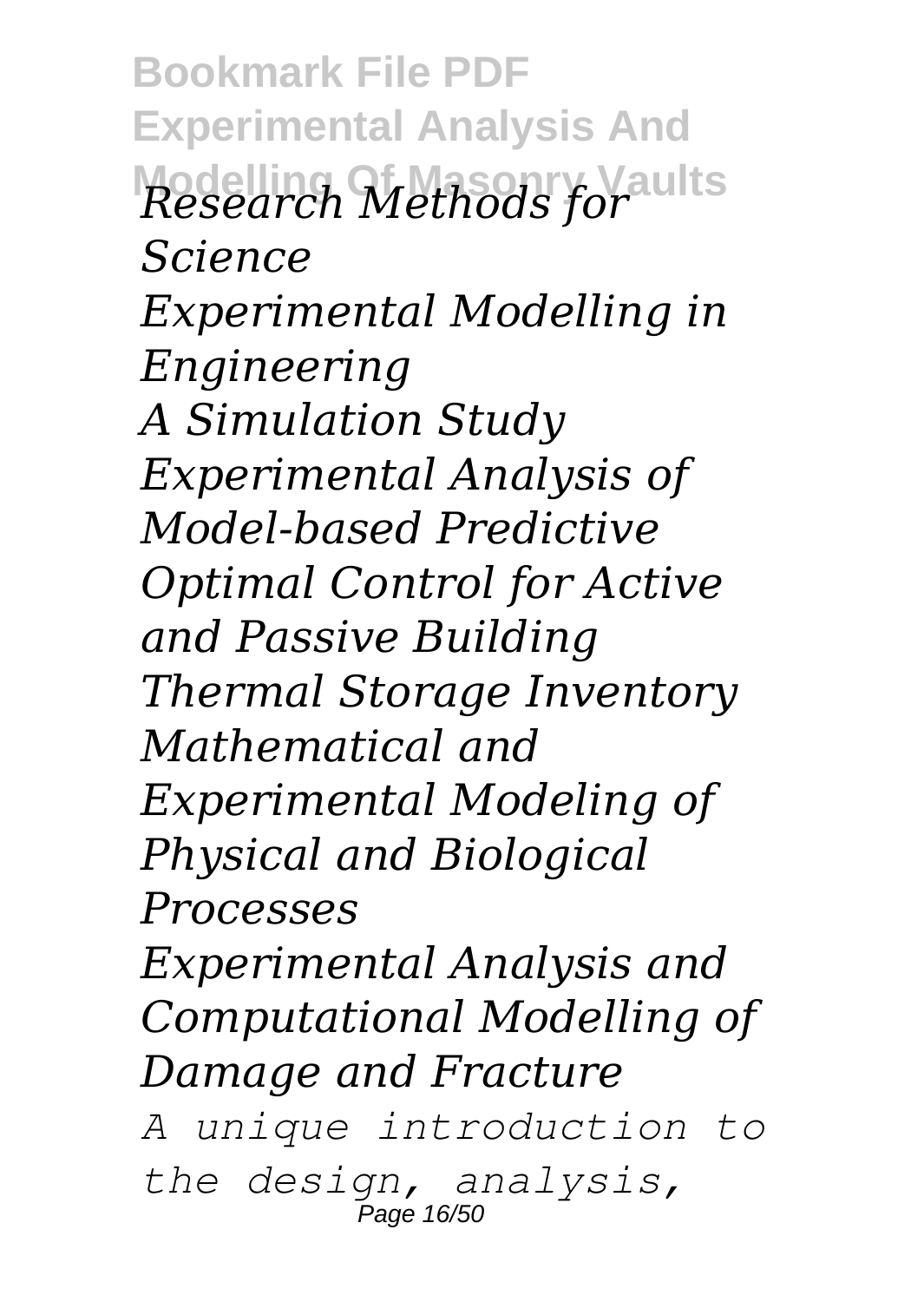**Bookmark File PDF Experimental Analysis And Modelling Of Masonry Vaults** *Research Methods for Science Experimental Modelling in Engineering A Simulation Study Experimental Analysis of Model-based Predictive Optimal Control for Active and Passive Building Thermal Storage Inventory Mathematical and Experimental Modeling of Physical and Biological Processes Experimental Analysis and Computational Modelling of Damage and Fracture A unique introduction to*

*the design, analysis,* Page 16/50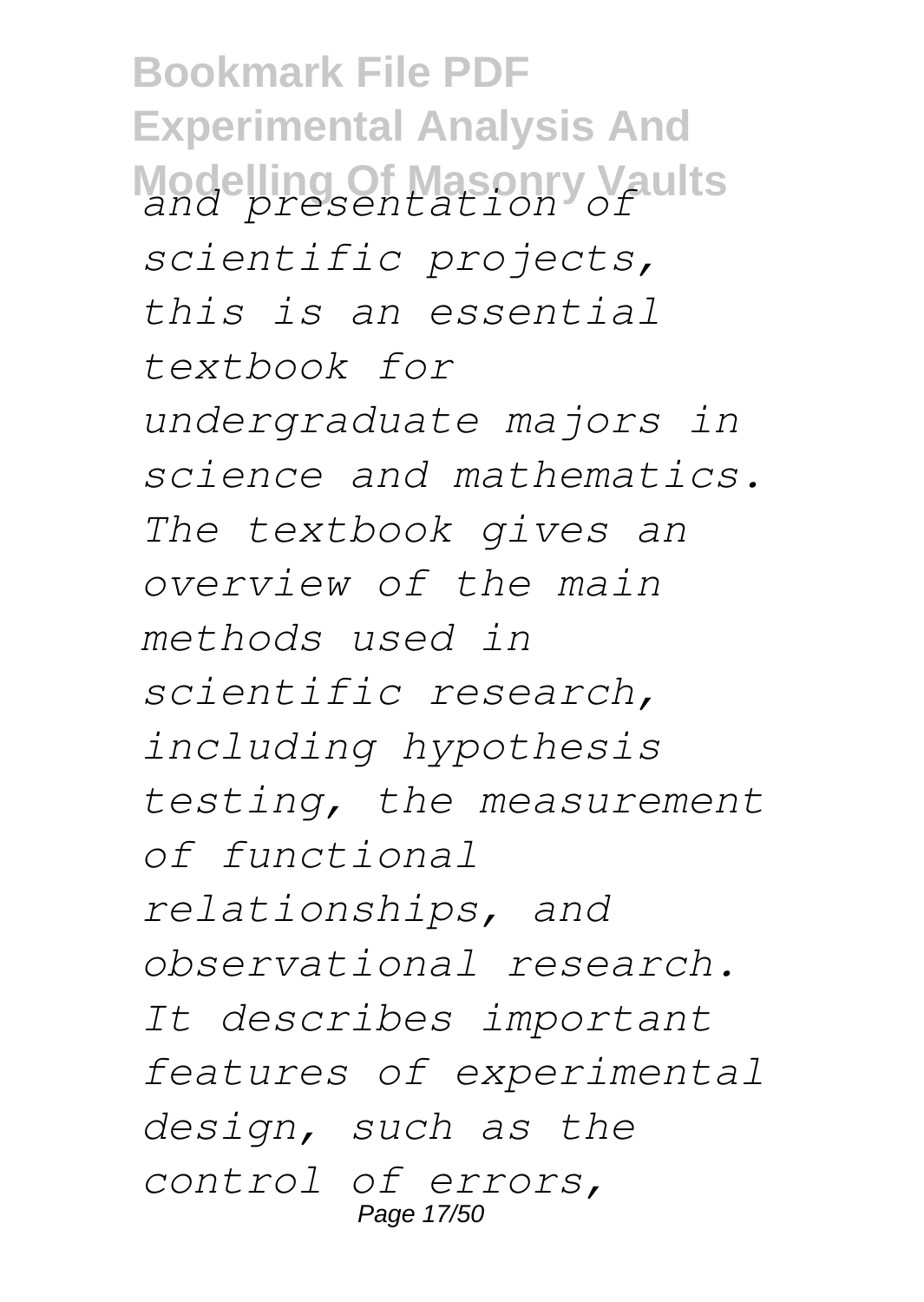**Bookmark File PDF Experimental Analysis And Modelling Of Masonry Vaults** *and presentation of scientific projects, this is an essential textbook for undergraduate majors in science and mathematics. The textbook gives an overview of the main methods used in scientific research, including hypothesis testing, the measurement of functional relationships, and observational research. It describes important features of experimental design, such as the control of errors,* Page 17/50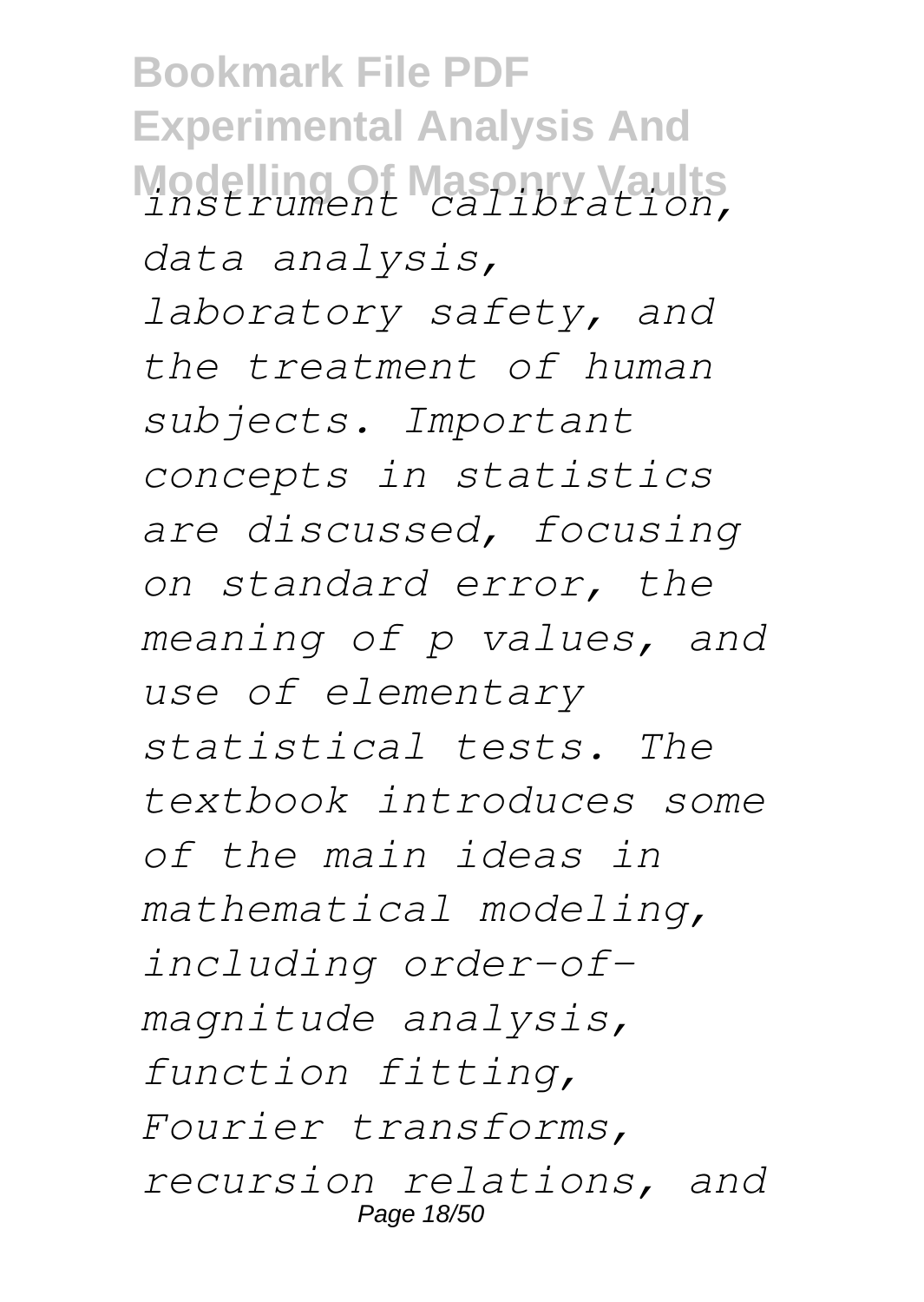**Bookmark File PDF Experimental Analysis And Modelling Of Masonry Vaults** *instrument calibration, data analysis, laboratory safety, and the treatment of human subjects. Important concepts in statistics are discussed, focusing on standard error, the meaning of p values, and use of elementary statistical tests. The textbook introduces some of the main ideas in mathematical modeling, including order-ofmagnitude analysis, function fitting, Fourier transforms, recursion relations, and* Page 18/50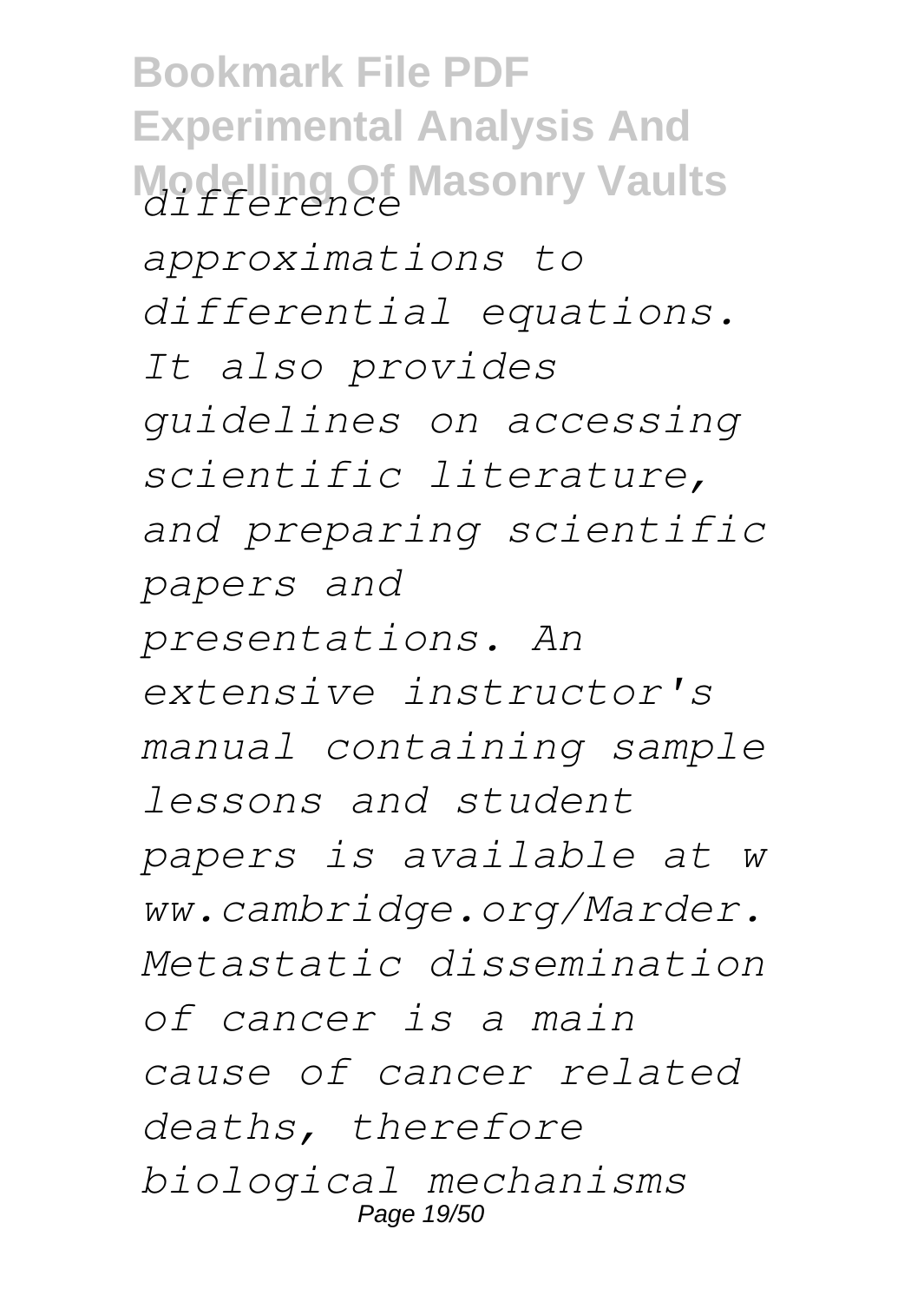**Bookmark File PDF Experimental Analysis And Modelling Of Masonry Vaults** *difference approximations to differential equations. It also provides guidelines on accessing scientific literature, and preparing scientific papers and presentations. An extensive instructor's manual containing sample lessons and student papers is available at w ww.cambridge.org/Marder. Metastatic dissemination of cancer is a main cause of cancer related deaths, therefore biological mechanisms* Page 19/50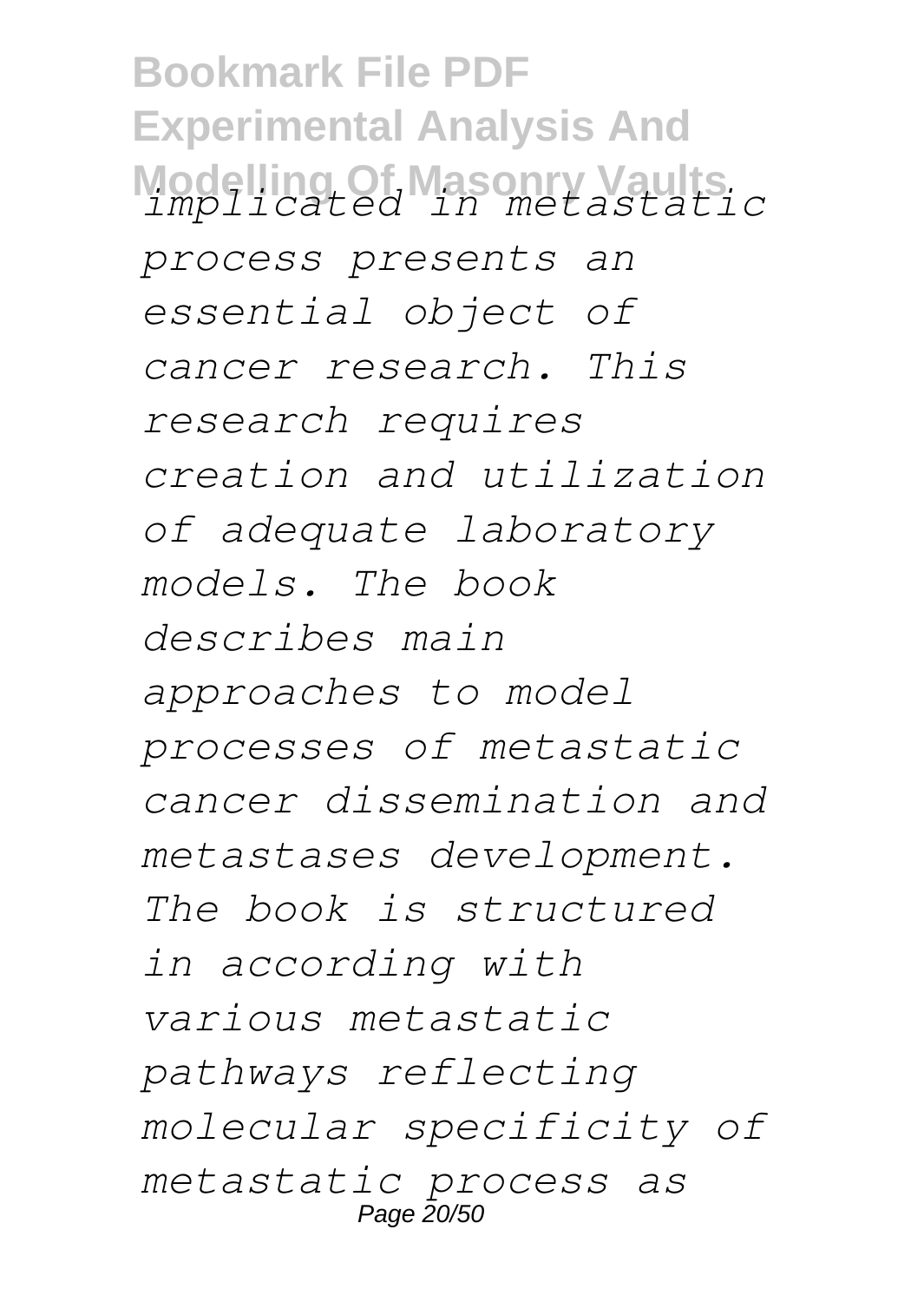**Bookmark File PDF Experimental Analysis And Modelling Of Masonry Vaults** *implicated in metastatic process presents an essential object of cancer research. This research requires creation and utilization of adequate laboratory models. The book describes main approaches to model processes of metastatic cancer dissemination and metastases development. The book is structured in according with various metastatic pathways reflecting molecular specificity of metastatic process as* Page 20/50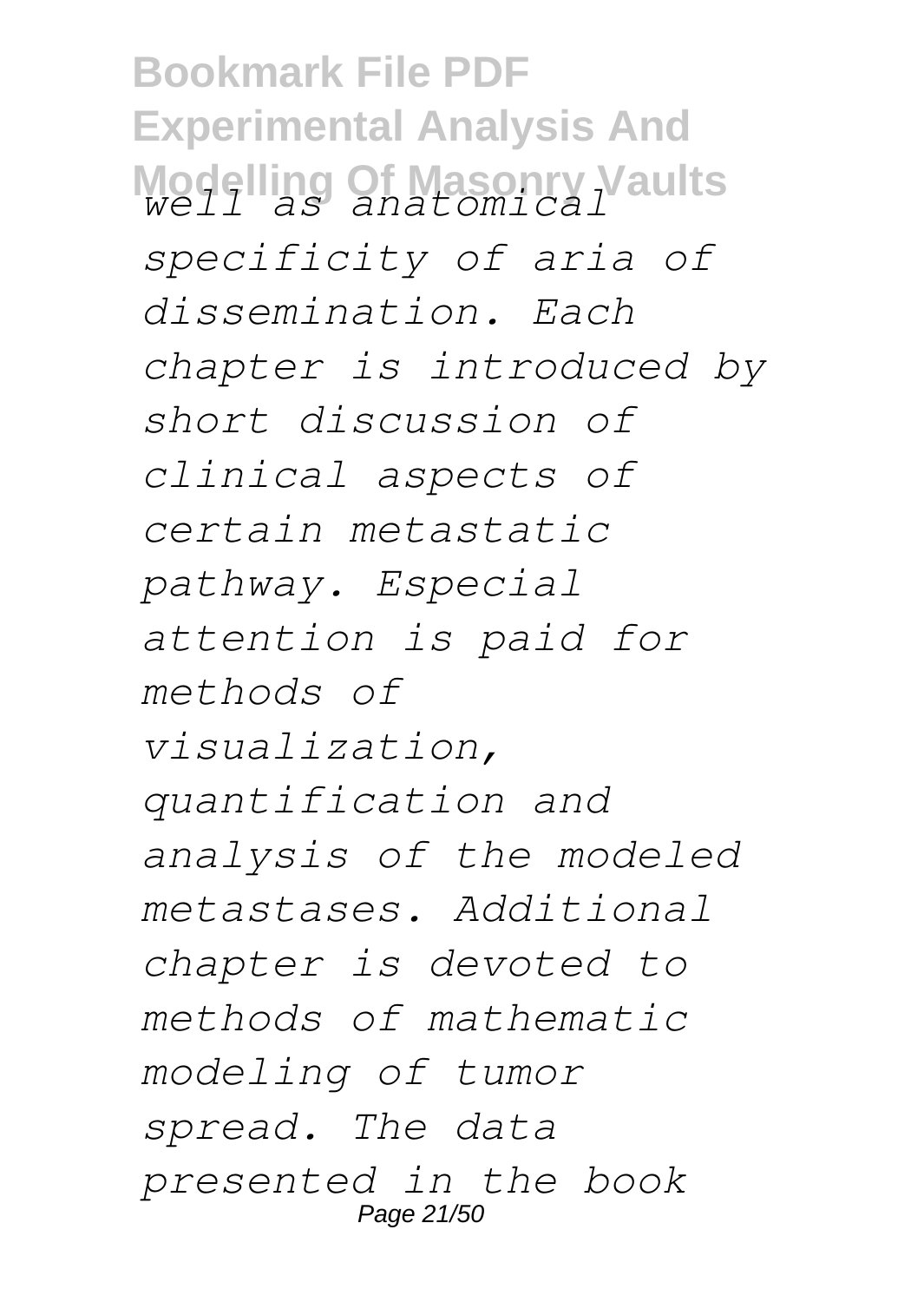**Bookmark File PDF Experimental Analysis And Modelling Of Masonry Vaults** *well as anatomical specificity of aria of dissemination. Each chapter is introduced by short discussion of clinical aspects of certain metastatic pathway. Especial attention is paid for methods of visualization, quantification and analysis of the modeled metastases. Additional chapter is devoted to methods of mathematic modeling of tumor spread. The data presented in the book* Page 21/50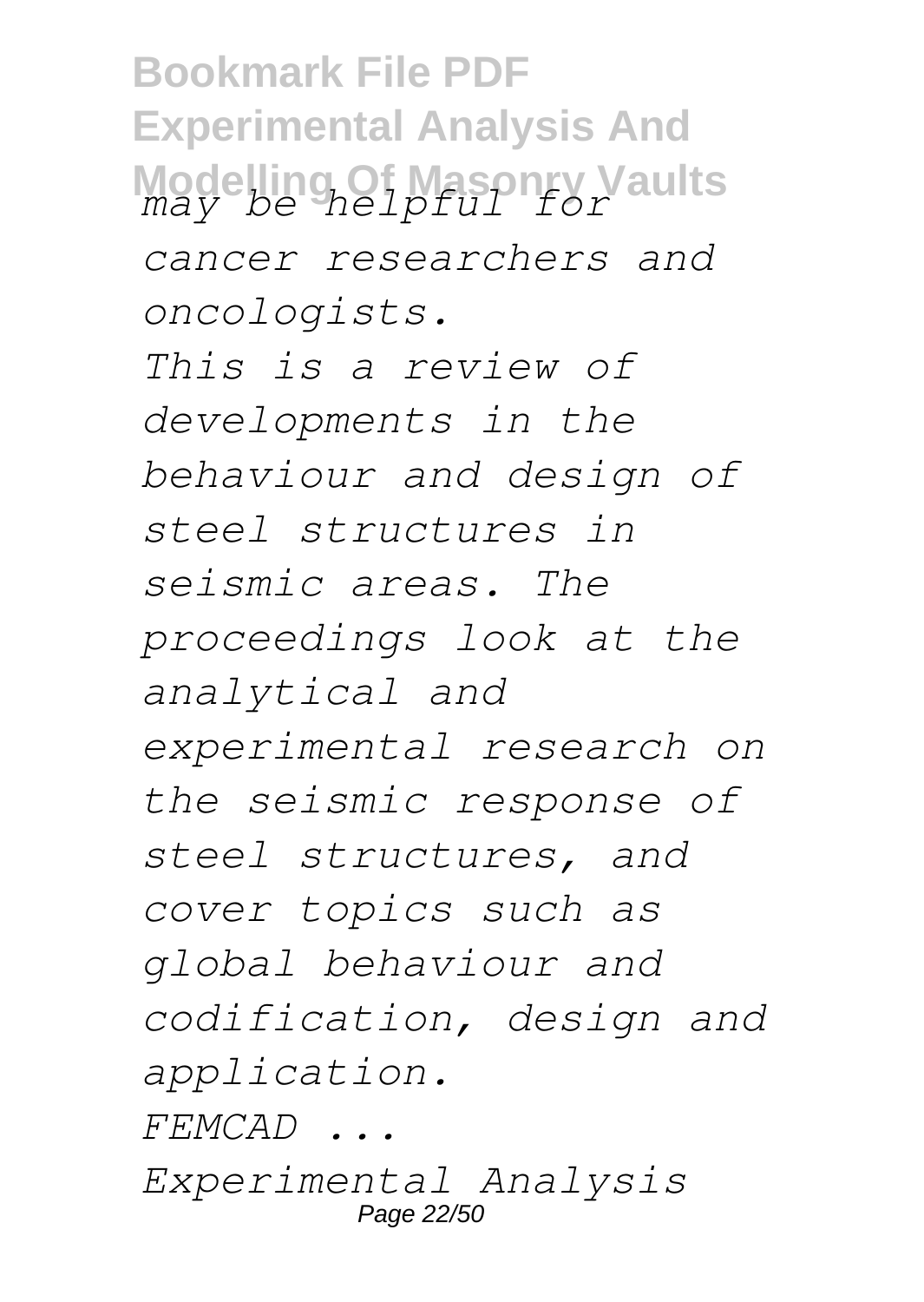**Bookmark File PDF Experimental Analysis And Modelling Of Masonry Vaults** *may be helpful for cancer researchers and oncologists. This is a review of developments in the behaviour and design of steel structures in seismic areas. The proceedings look at the analytical and experimental research on the seismic response of steel structures, and cover topics such as global behaviour and codification, design and application. FEMCAD ... Experimental Analysis* Page 22/50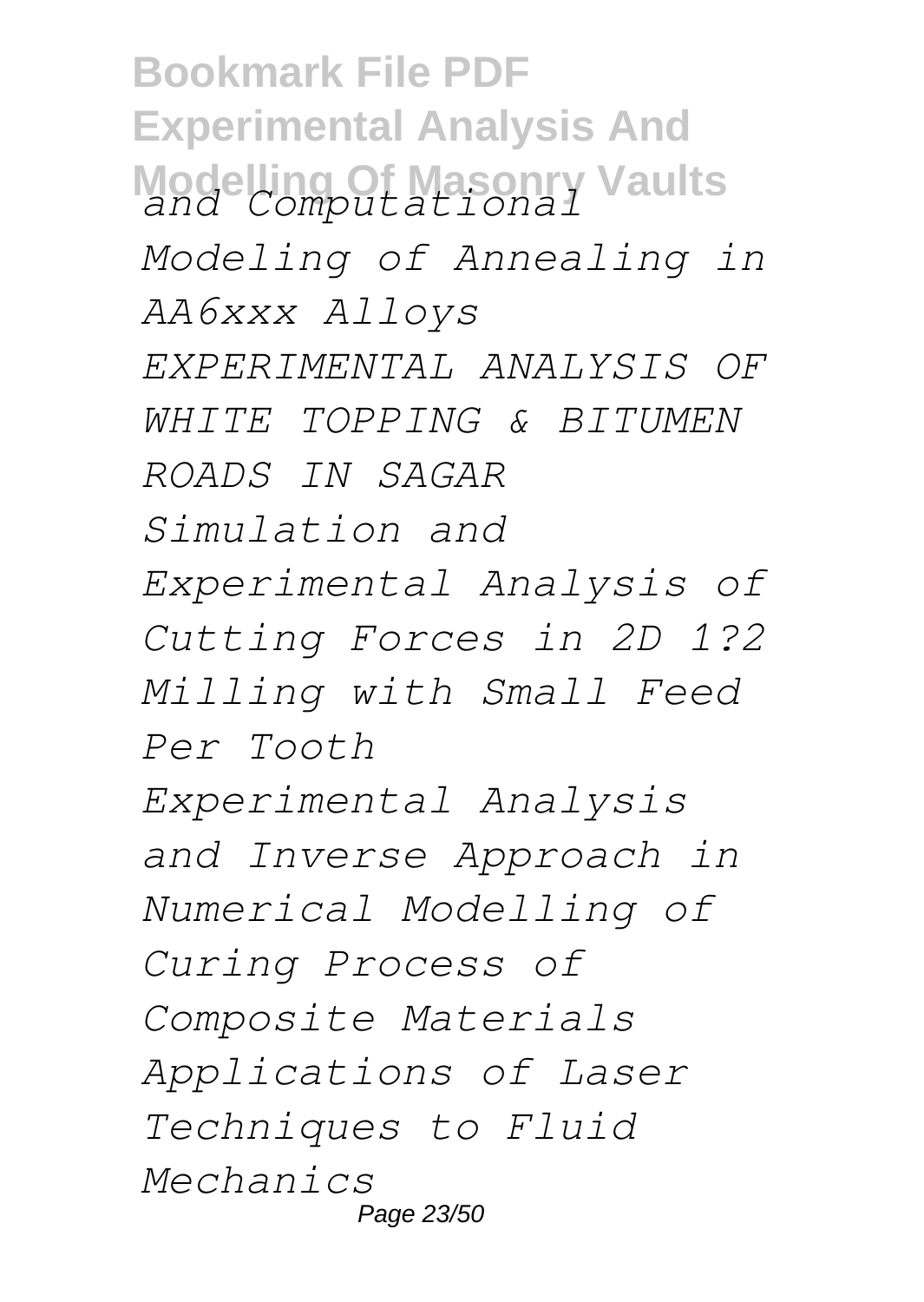**Bookmark File PDF Experimental Analysis And Modelling Of Masonry Vaults** *and Computational Modeling of Annealing in AA6xxx Alloys EXPERIMENTAL ANALYSIS OF WHITE TOPPING & BITUMEN ROADS IN SAGAR Simulation and Experimental Analysis of Cutting Forces in 2D 1?2 Milling with Small Feed Per Tooth Experimental Analysis and Inverse Approach in Numerical Modelling of Curing Process of Composite Materials Applications of Laser Techniques to Fluid Mechanics* Page 23/50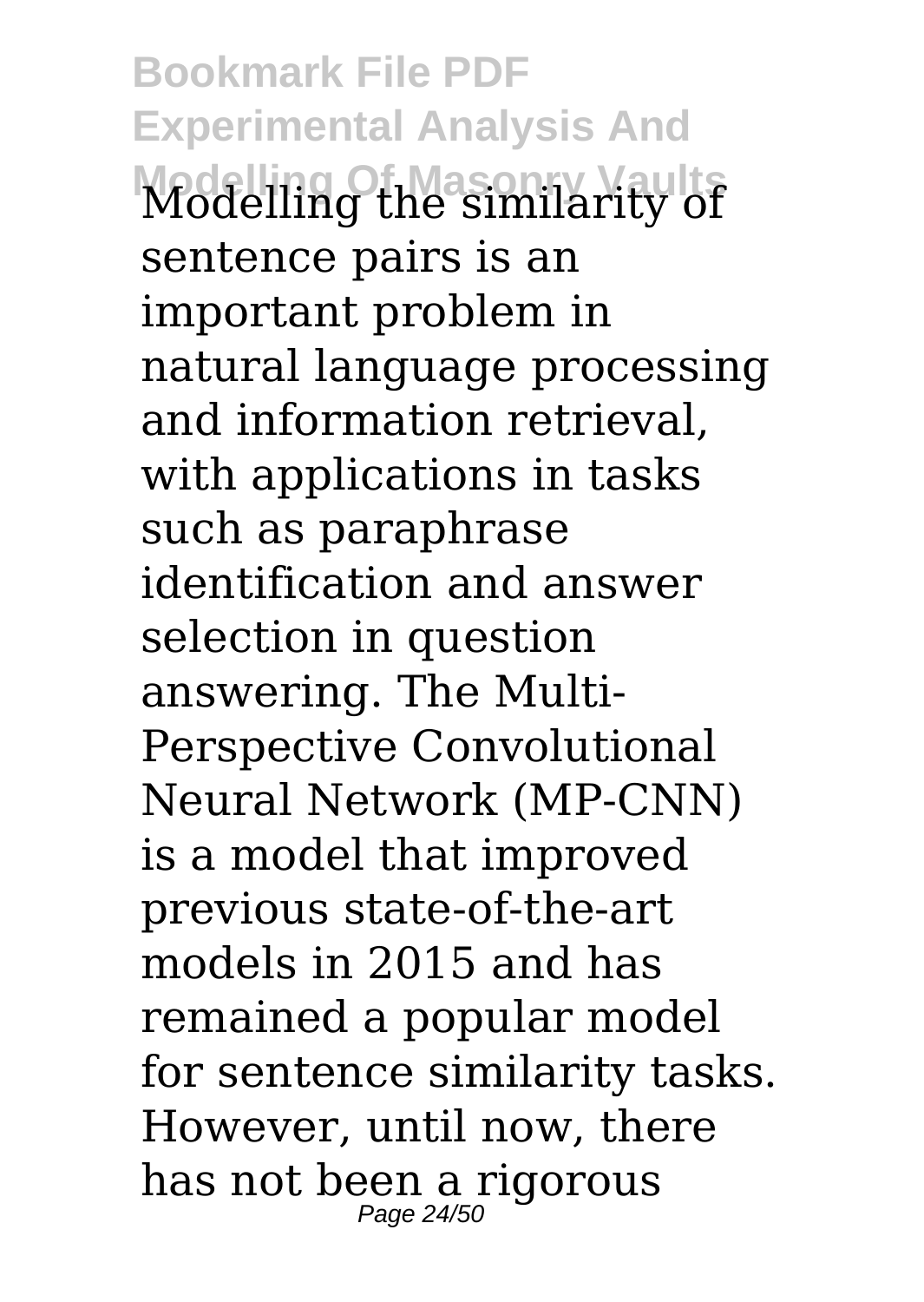**Bookmark File PDF Experimental Analysis And Modelling Of Masonry Vaults** Modelling the similarity of sentence pairs is an important problem in natural language processing and information retrieval, with applications in tasks such as paraphrase identification and answer selection in question answering. The Multi-Perspective Convolutional Neural Network (MP-CNN) is a model that improved previous state-of-the-art models in 2015 and has remained a popular model for sentence similarity tasks. However, until now, there has not been a rigorous<br><sub>Page 24/50</sub>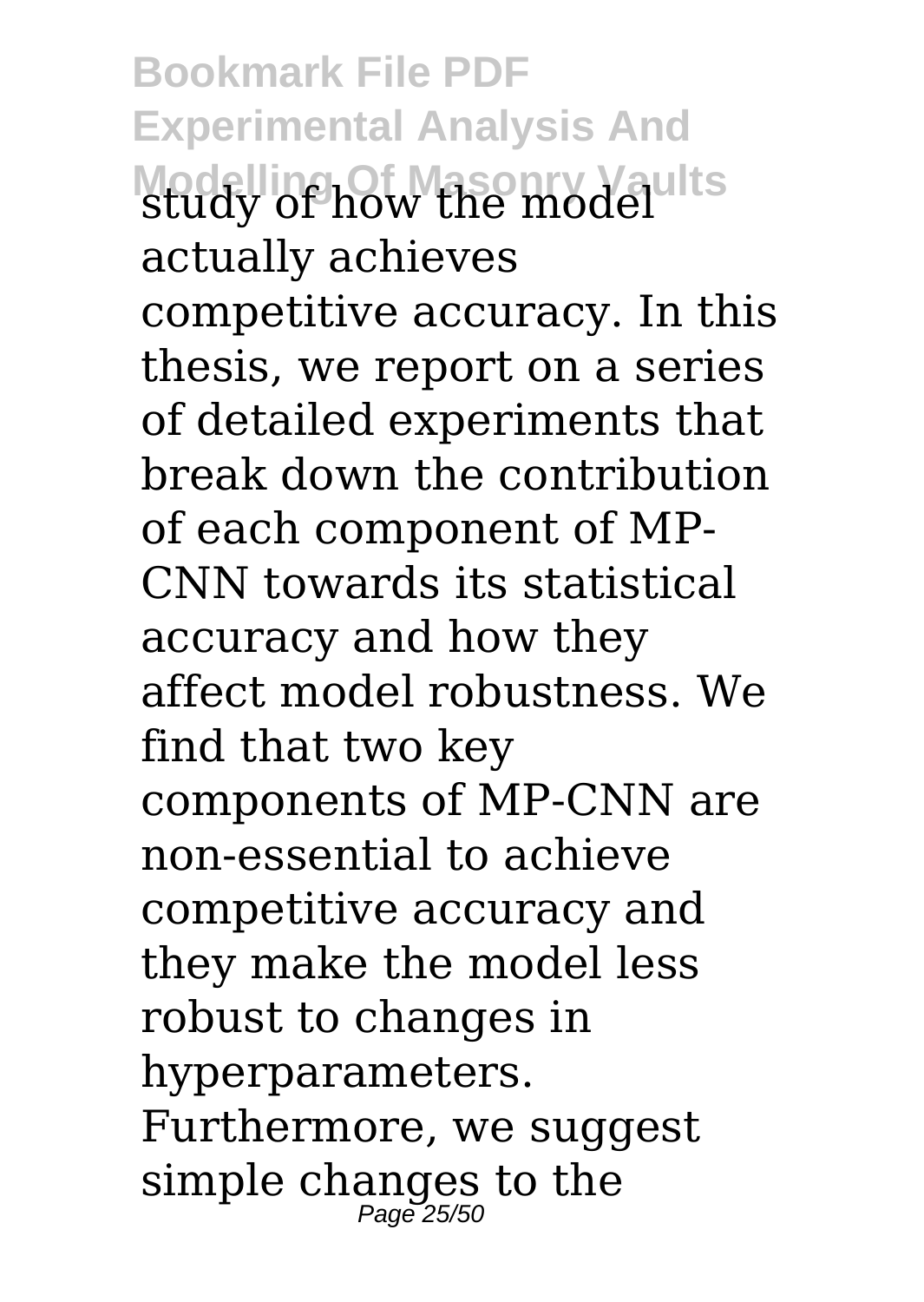**Bookmark File PDF Experimental Analysis And Modelling Of Masonry Vaults** study of how the model actually achieves competitive accuracy. In this thesis, we report on a series of detailed experiments that break down the contribution of each component of MP-CNN towards its statistical accuracy and how they affect model robustness. We find that two key components of MP-CNN are non-essential to achieve competitive accuracy and they make the model less robust to changes in hyperparameters. Furthermore, we suggest simple changes to the Page 25/50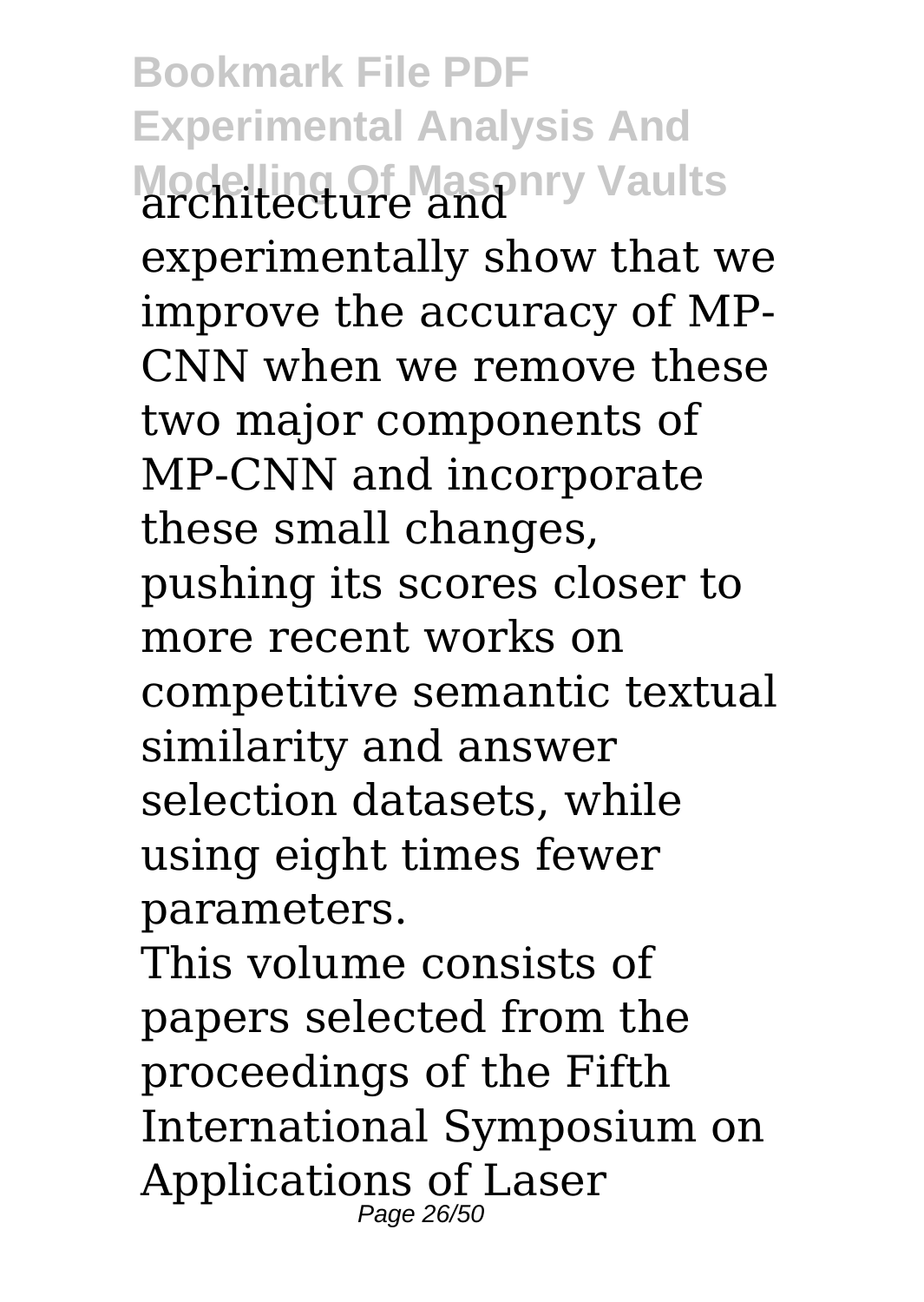**Bookmark File PDF Experimental Analysis And Modelling Of Masonry Vaults** architecture and experimentally show that we improve the accuracy of MP-CNN when we remove these two major components of MP-CNN and incorporate these small changes, pushing its scores closer to more recent works on competitive semantic textual similarity and answer selection datasets, while using eight times fewer parameters.

This volume consists of papers selected from the proceedings of the Fifth International Symposium on Applications of Laser Page 26/50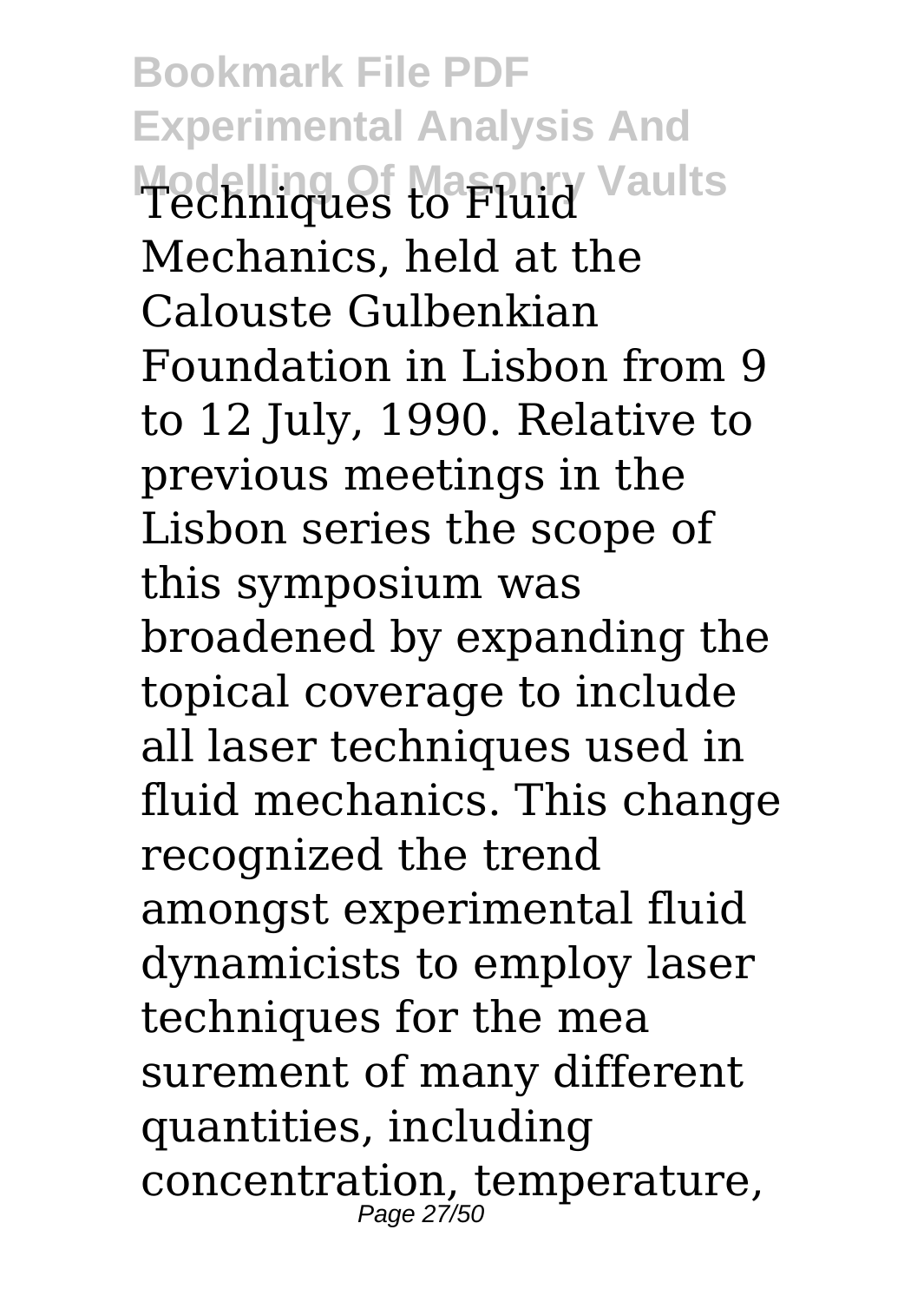**Bookmark File PDF Experimental Analysis And Modelling Of Masonry Vaults** Techniques to Fluid Mechanics, held at the Calouste Gulbenkian Foundation in Lisbon from 9 to 12 July, 1990. Relative to previous meetings in the Lisbon series the scope of this symposium was broadened by expanding the topical coverage to include all laser techniques used in fluid mechanics. This change recognized the trend amongst experimental fluid dynamicists to employ laser techniques for the mea surement of many different quantities, including concentration, temperature, Page 27/50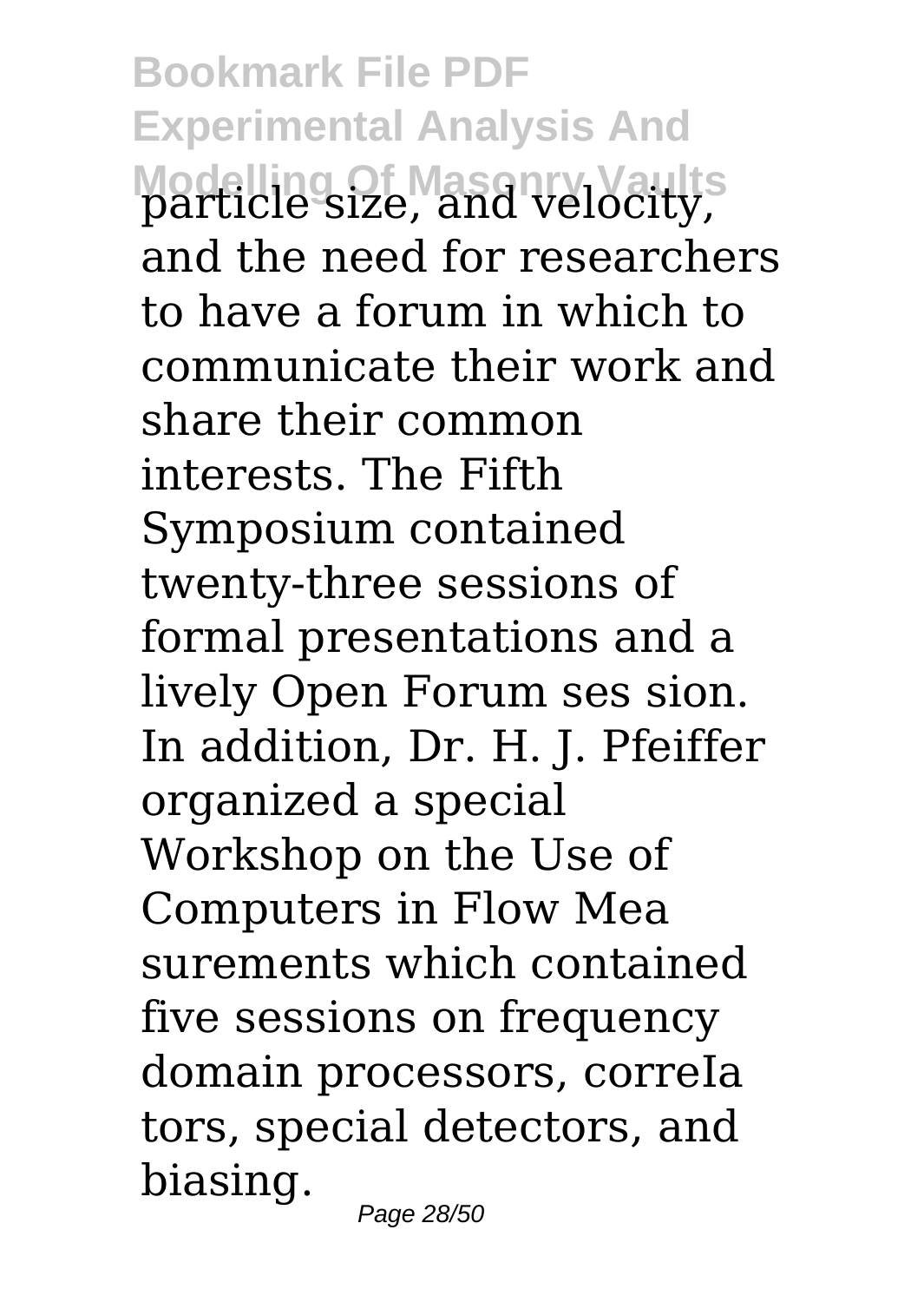**Bookmark File PDF Experimental Analysis And Modelling Of Masonry Vaults** particle size, and velocity, and the need for researchers to have a forum in which to communicate their work and share their common interests. The Fifth Symposium contained twenty-three sessions of formal presentations and a lively Open Forum ses sion. In addition, Dr. H. J. Pfeiffer organized a special Workshop on the Use of Computers in Flow Mea surements which contained five sessions on frequency domain processors, correIa tors, special detectors, and biasing.

Page 28/50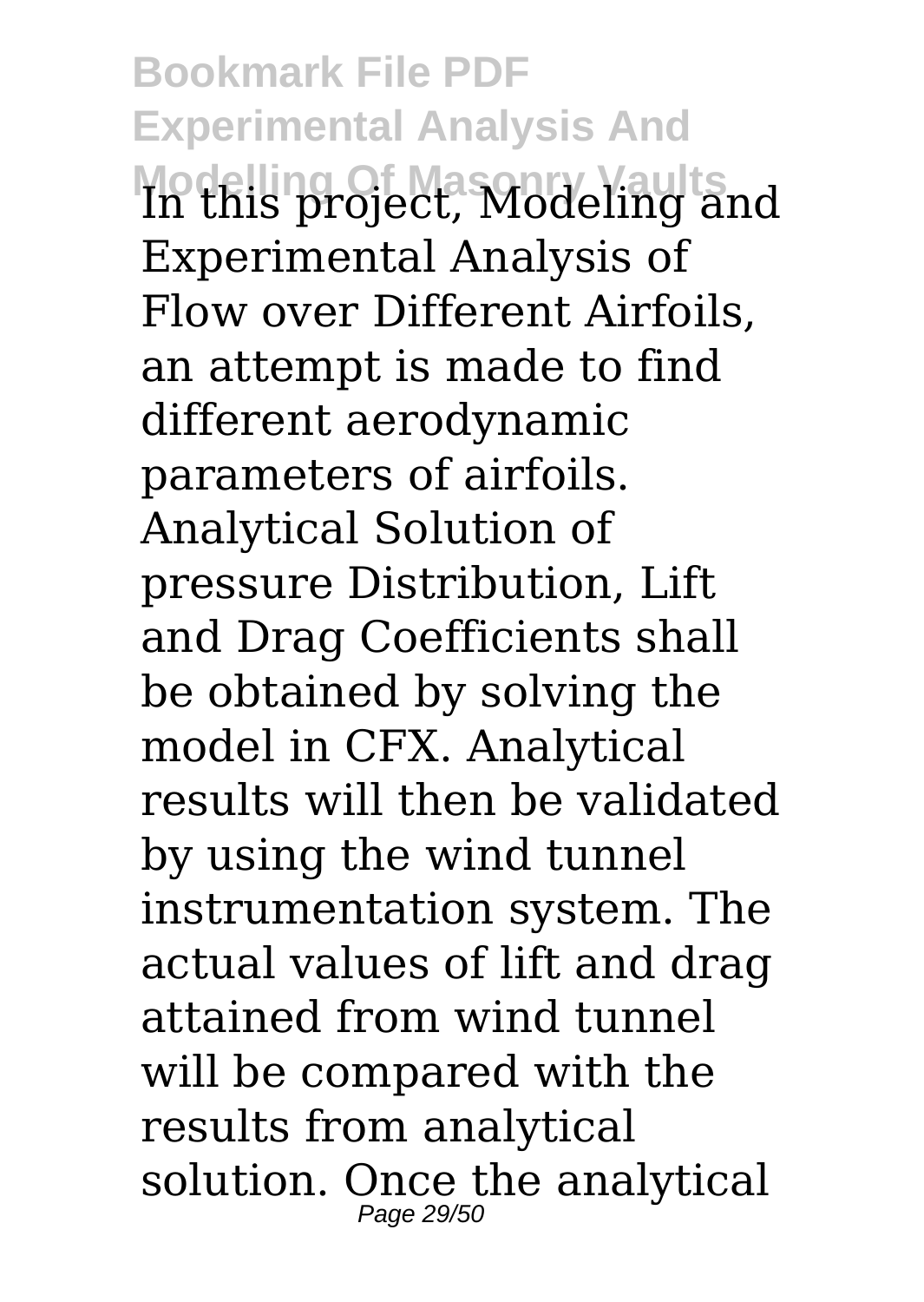**Bookmark File PDF Experimental Analysis And Modelling Of Masonry Vaults** In this project, Modeling and Experimental Analysis of Flow over Different Airfoils, an attempt is made to find different aerodynamic parameters of airfoils. Analytical Solution of pressure Distribution, Lift and Drag Coefficients shall be obtained by solving the model in CFX. Analytical results will then be validated by using the wind tunnel instrumentation system. The actual values of lift and drag attained from wind tunnel will be compared with the results from analytical solution. Once the analytical Page 29/50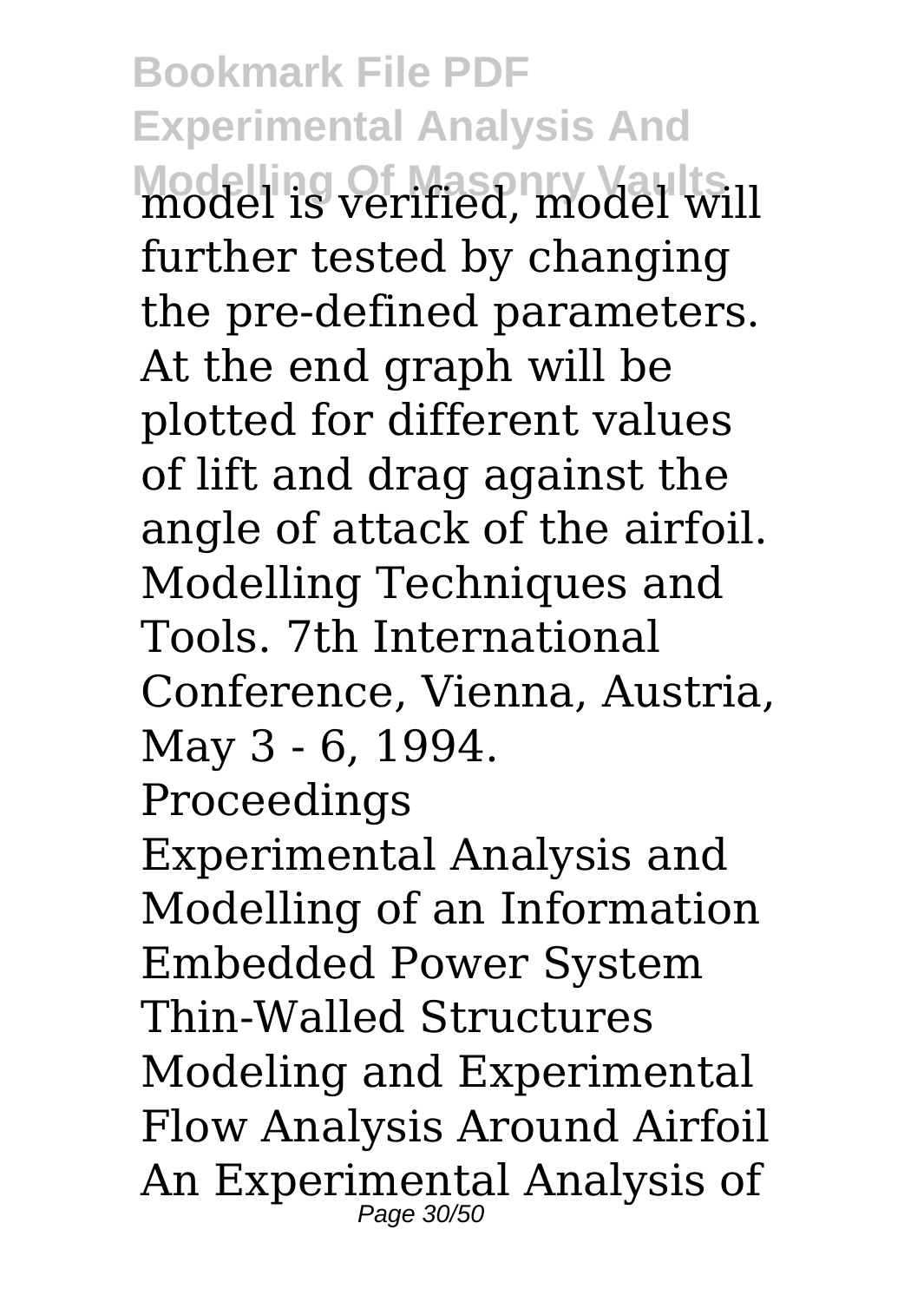**Bookmark File PDF Experimental Analysis And Modelling Of Masonry Vaults** model is verified, model will further tested by changing the pre-defined parameters. At the end graph will be plotted for different values of lift and drag against the angle of attack of the airfoil. Modelling Techniques and Tools. 7th International Conference, Vienna, Austria, May 3 - 6, 1994. Proceedings Experimental Analysis and Modelling of an Information Embedded Power System Thin-Walled Structures Modeling and Experimental Flow Analysis Around Airfoil An Experimental Analysis of Page 30/50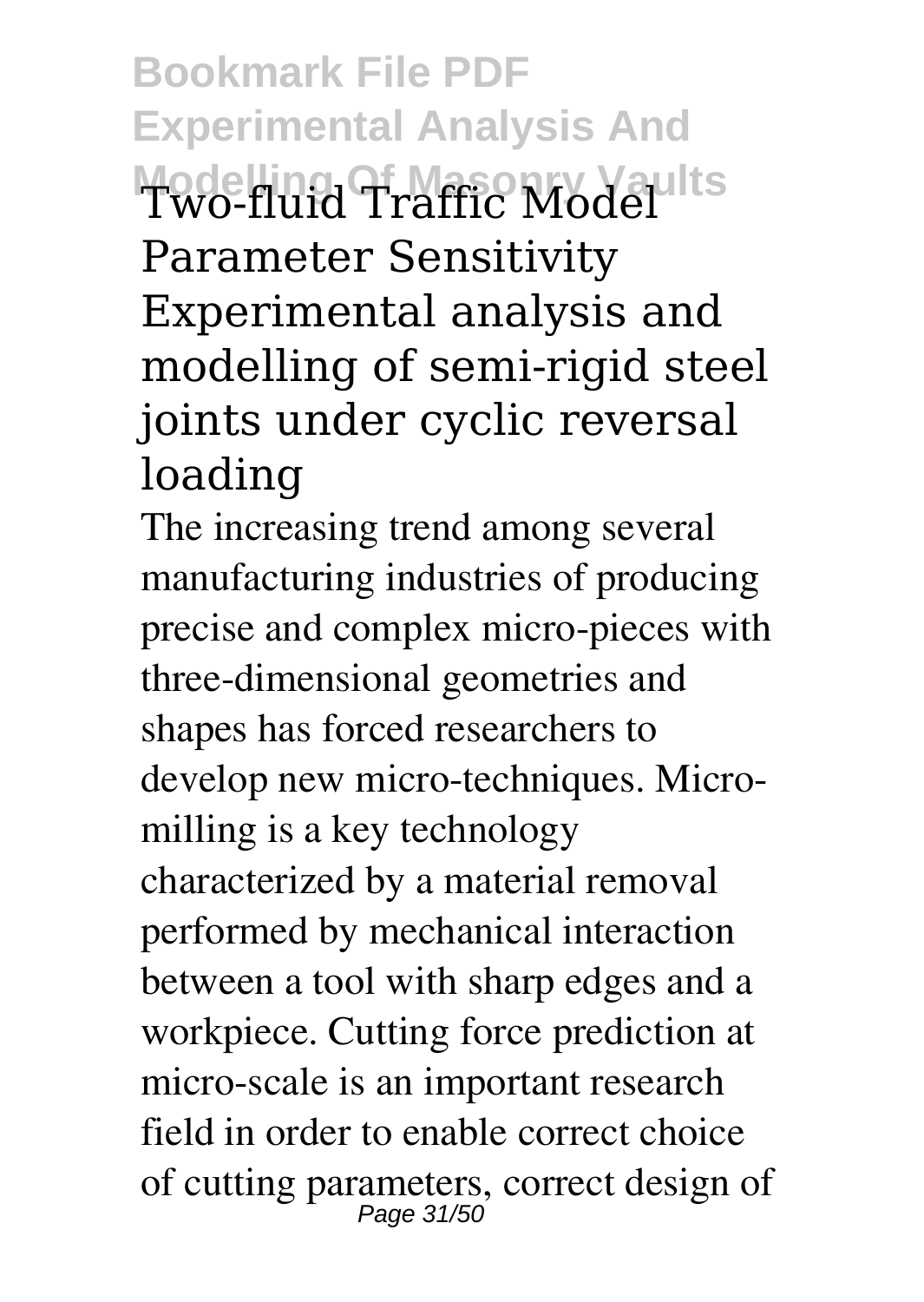**Bookmark File PDF Experimental Analysis And Modelling Of Masonry Vaults** Two-fluid Traffic Model Parameter Sensitivity Experimental analysis and modelling of semi-rigid steel joints under cyclic reversal loading

The increasing trend among several manufacturing industries of producing precise and complex micro-pieces with three-dimensional geometries and shapes has forced researchers to develop new micro-techniques. Micromilling is a key technology characterized by a material removal performed by mechanical interaction between a tool with sharp edges and a workpiece. Cutting force prediction at micro-scale is an important research field in order to enable correct choice of cutting parameters, correct design of Page 31/50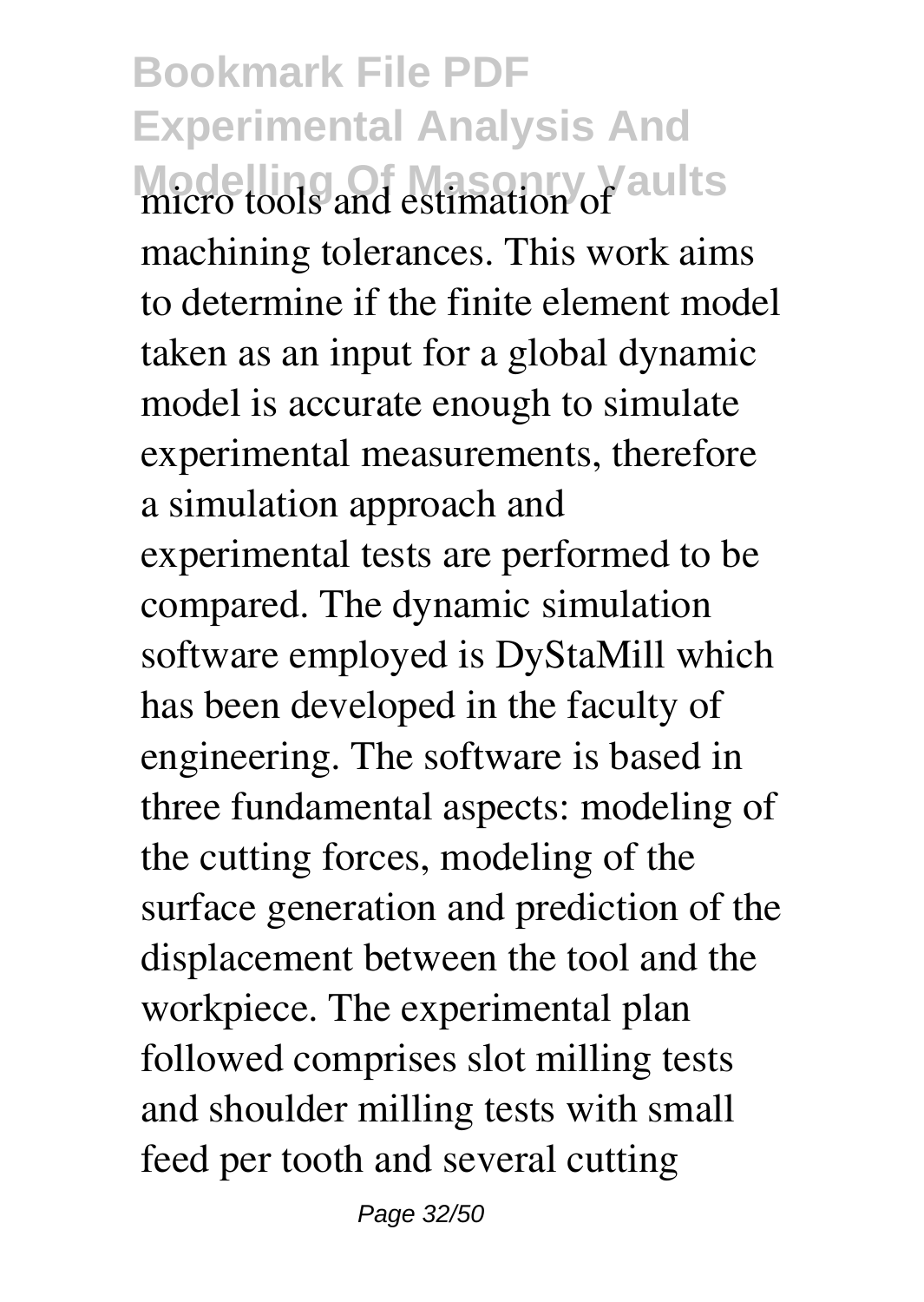**Bookmark File PDF Experimental Analysis And Modelling Of Masonry Vaults** micro tools and estimation of machining tolerances. This work aims to determine if the finite element model taken as an input for a global dynamic model is accurate enough to simulate experimental measurements, therefore a simulation approach and experimental tests are performed to be compared. The dynamic simulation software employed is DyStaMill which has been developed in the faculty of engineering. The software is based in three fundamental aspects: modeling of the cutting forces, modeling of the surface generation and prediction of the displacement between the tool and the workpiece. The experimental plan followed comprises slot milling tests and shoulder milling tests with small feed per tooth and several cutting

Page 32/50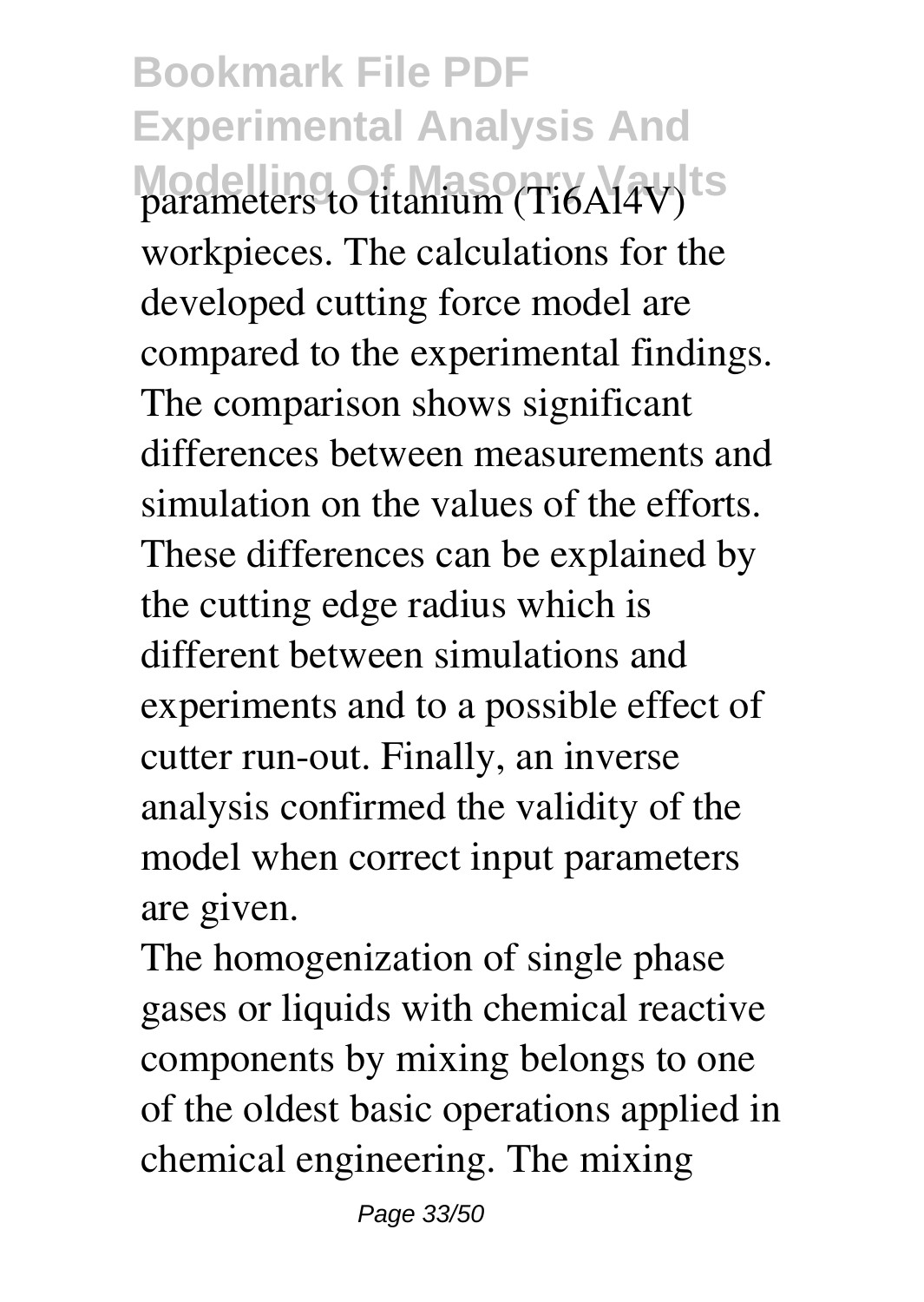**Bookmark File PDF Experimental Analysis And** parameters to titanium (Ti6Al4V)<sup>ts</sup> workpieces. The calculations for the developed cutting force model are compared to the experimental findings. The comparison shows significant differences between measurements and simulation on the values of the efforts. These differences can be explained by the cutting edge radius which is different between simulations and experiments and to a possible effect of cutter run-out. Finally, an inverse analysis confirmed the validity of the model when correct input parameters are given.

The homogenization of single phase gases or liquids with chemical reactive components by mixing belongs to one of the oldest basic operations applied in chemical engineering. The mixing

Page 33/50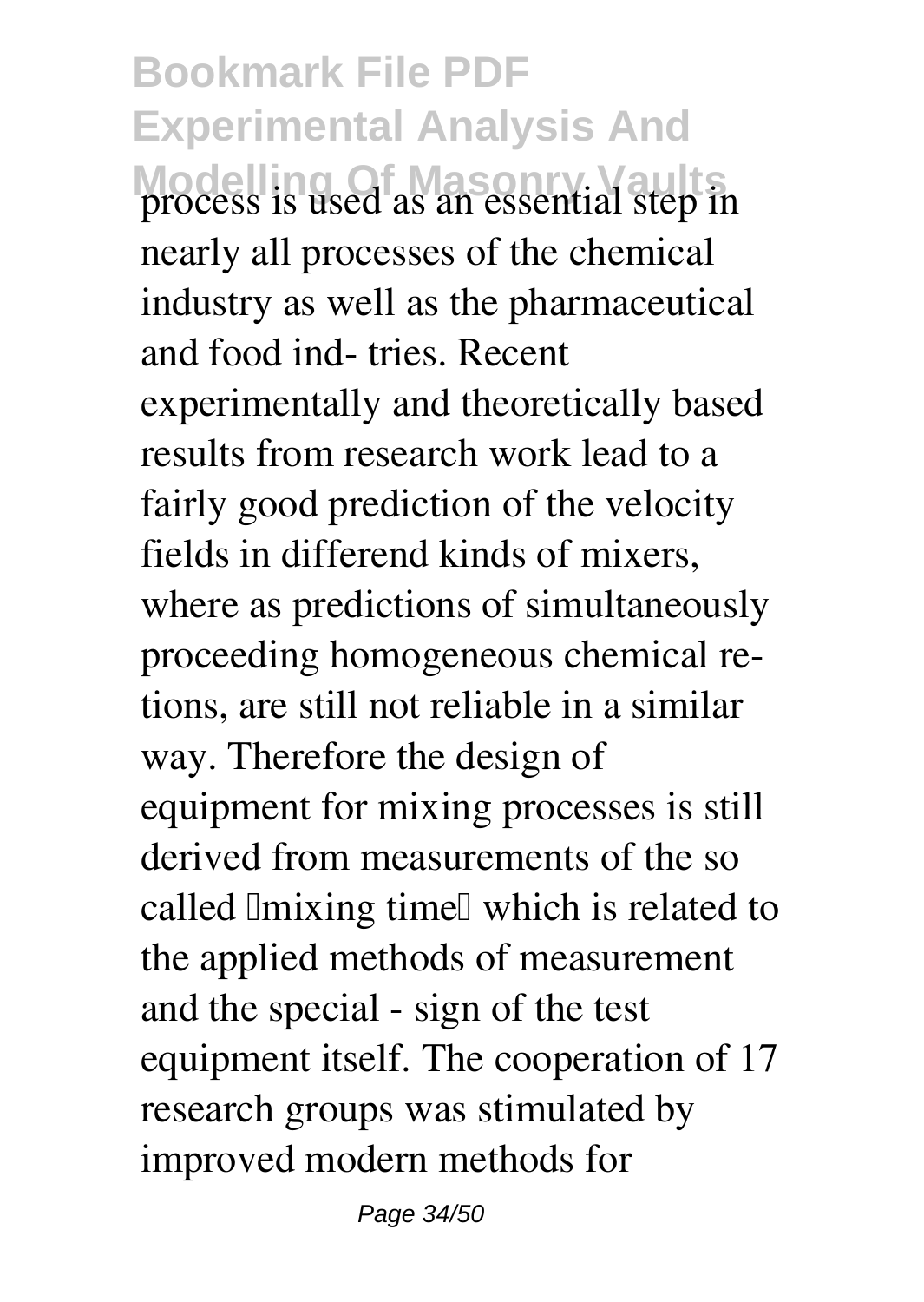**Bookmark File PDF Experimental Analysis And Modelling Of Masonry Vaults** process is used as an essential step in nearly all processes of the chemical industry as well as the pharmaceutical and food ind- tries. Recent experimentally and theoretically based results from research work lead to a fairly good prediction of the velocity fields in differend kinds of mixers, where as predictions of simultaneously proceeding homogeneous chemical retions, are still not reliable in a similar way. Therefore the design of equipment for mixing processes is still derived from measurements of the so called Imixing time which is related to the applied methods of measurement and the special - sign of the test equipment itself. The cooperation of 17 research groups was stimulated by improved modern methods for

Page 34/50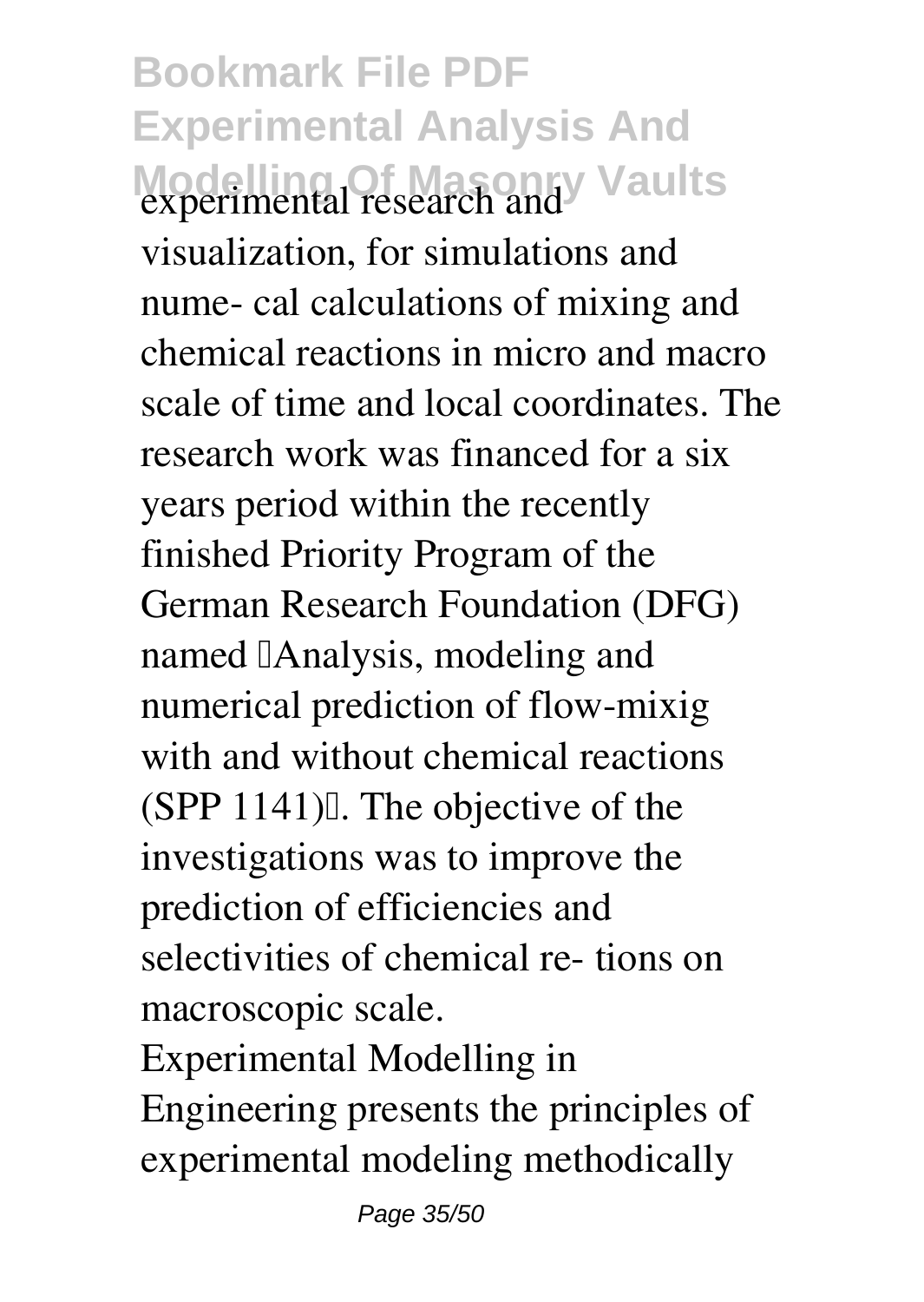**Bookmark File PDF Experimental Analysis And Modelling Of Masonry Vaults** experimental research and

visualization, for simulations and nume- cal calculations of mixing and chemical reactions in micro and macro scale of time and local coordinates. The research work was financed for a six years period within the recently finished Priority Program of the German Research Foundation (DFG) named **Analysis**, modeling and numerical prediction of flow-mixig with and without chemical reactions  $(SPP 1141)$ . The objective of the investigations was to improve the prediction of efficiencies and selectivities of chemical re- tions on macroscopic scale.

Experimental Modelling in Engineering presents the principles of experimental modeling methodically

Page 35/50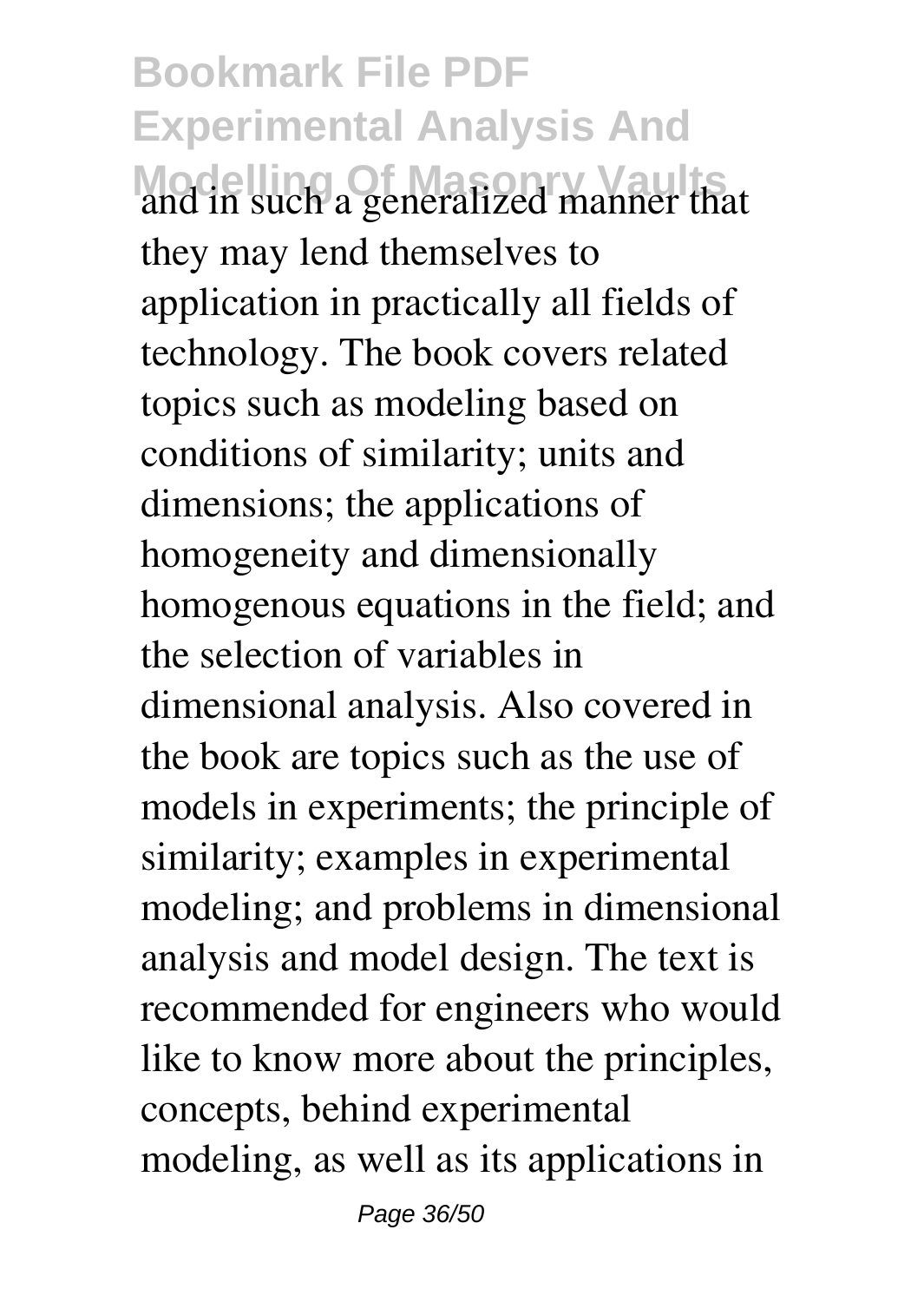**Bookmark File PDF Experimental Analysis And Modelling Of Masonry Vaults** and in such a generalized manner that they may lend themselves to application in practically all fields of technology. The book covers related topics such as modeling based on conditions of similarity; units and dimensions; the applications of homogeneity and dimensionally homogenous equations in the field; and the selection of variables in dimensional analysis. Also covered in the book are topics such as the use of models in experiments; the principle of similarity; examples in experimental modeling; and problems in dimensional analysis and model design. The text is recommended for engineers who would like to know more about the principles, concepts, behind experimental modeling, as well as its applications in

Page 36/50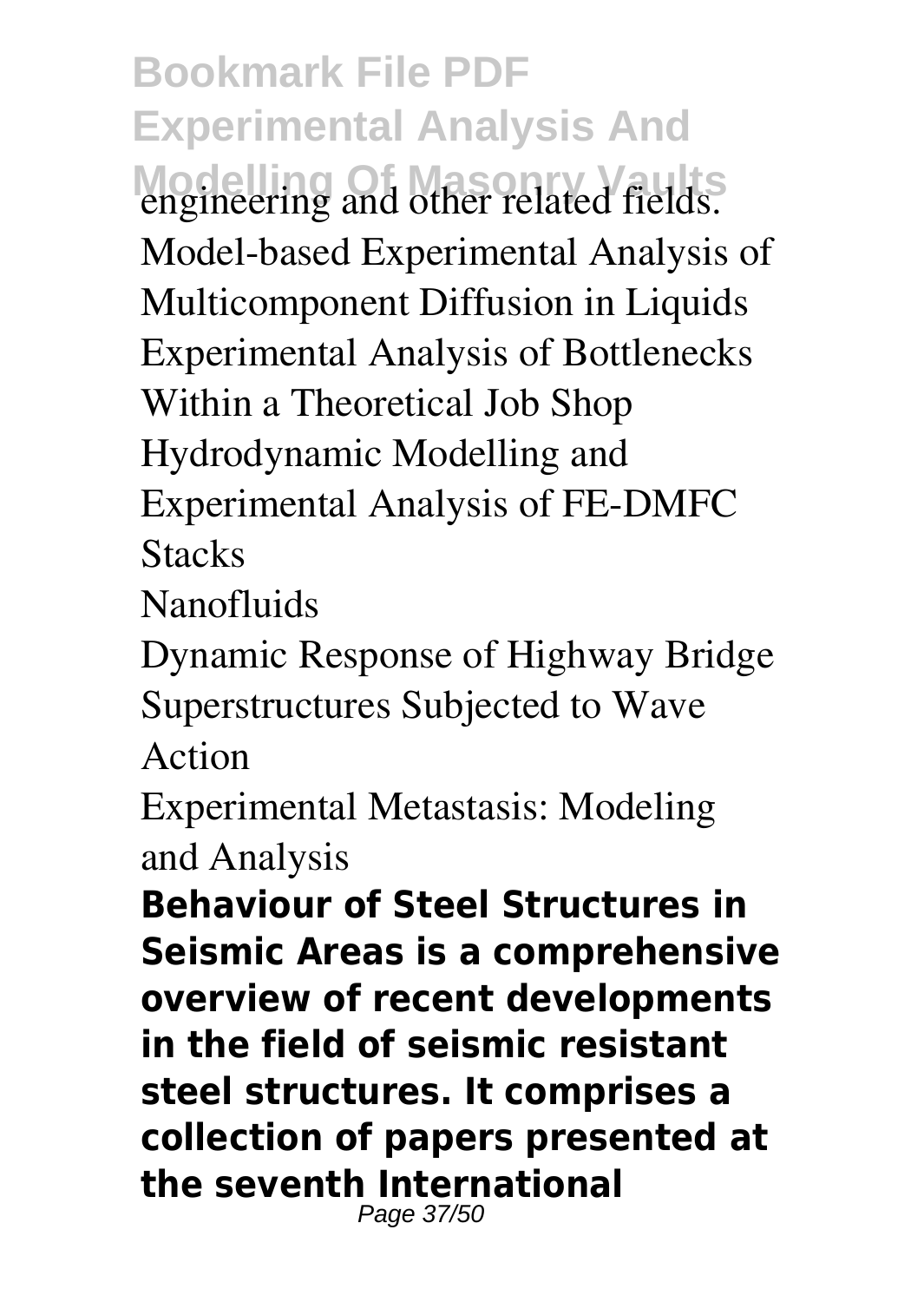**Bookmark File PDF Experimental Analysis And** engineering and other related fields. Model-based Experimental Analysis of Multicomponent Diffusion in Liquids Experimental Analysis of Bottlenecks Within a Theoretical Job Shop Hydrodynamic Modelling and Experimental Analysis of FE-DMFC **Stacks** 

Nanofluids

Dynamic Response of Highway Bridge Superstructures Subjected to Wave Action

Experimental Metastasis: Modeling and Analysis

**Behaviour of Steel Structures in Seismic Areas is a comprehensive overview of recent developments in the field of seismic resistant steel structures. It comprises a collection of papers presented at the seventh International** Page 37/50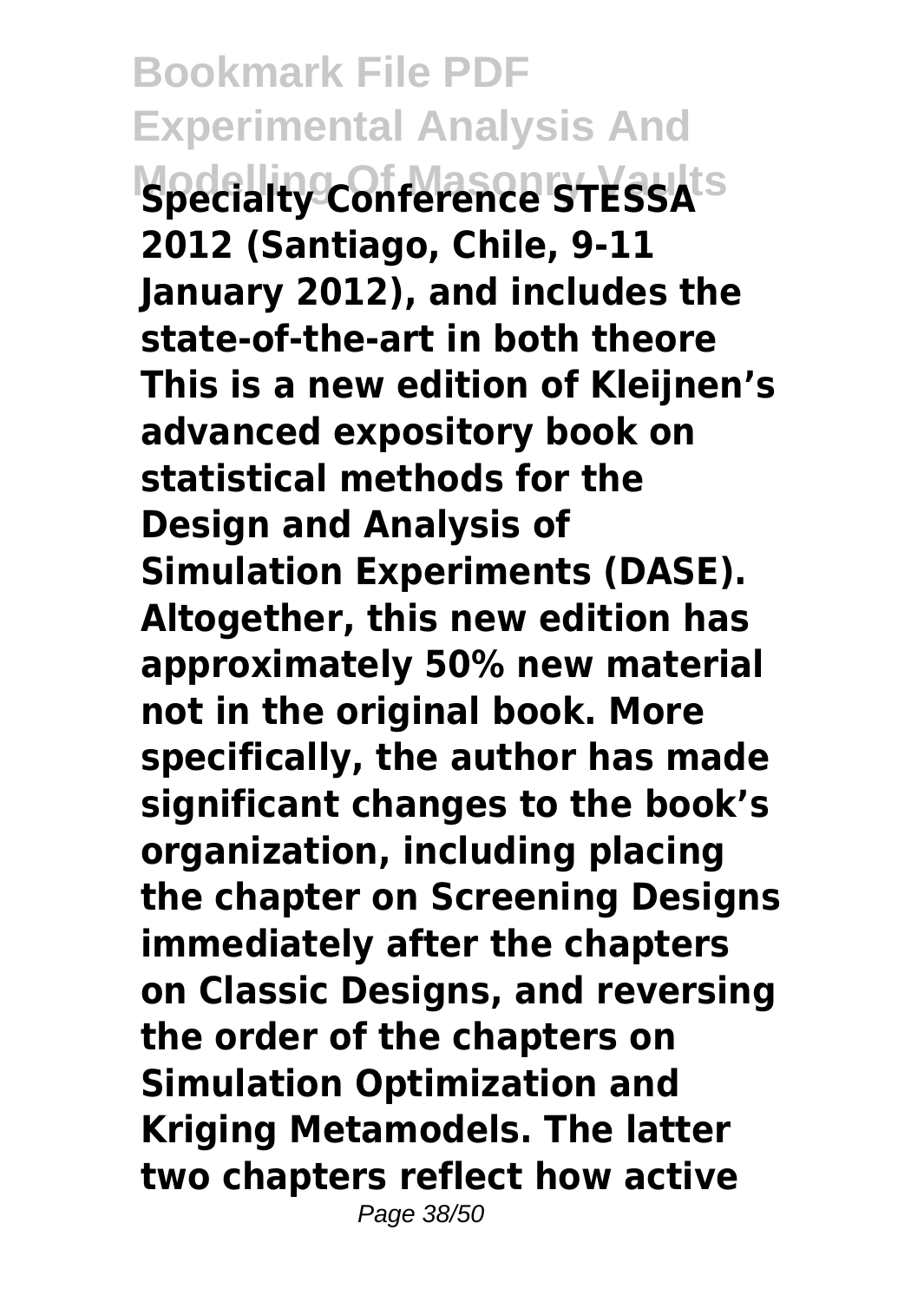**Bookmark File PDF Experimental Analysis And Modelling Of Masonry Vaults Specialty Conference STESSA 2012 (Santiago, Chile, 9-11 January 2012), and includes the state-of-the-art in both theore This is a new edition of Kleijnen's advanced expository book on statistical methods for the Design and Analysis of Simulation Experiments (DASE). Altogether, this new edition has approximately 50% new material not in the original book. More specifically, the author has made significant changes to the book's organization, including placing the chapter on Screening Designs immediately after the chapters on Classic Designs, and reversing the order of the chapters on Simulation Optimization and Kriging Metamodels. The latter two chapters reflect how active** Page 38/50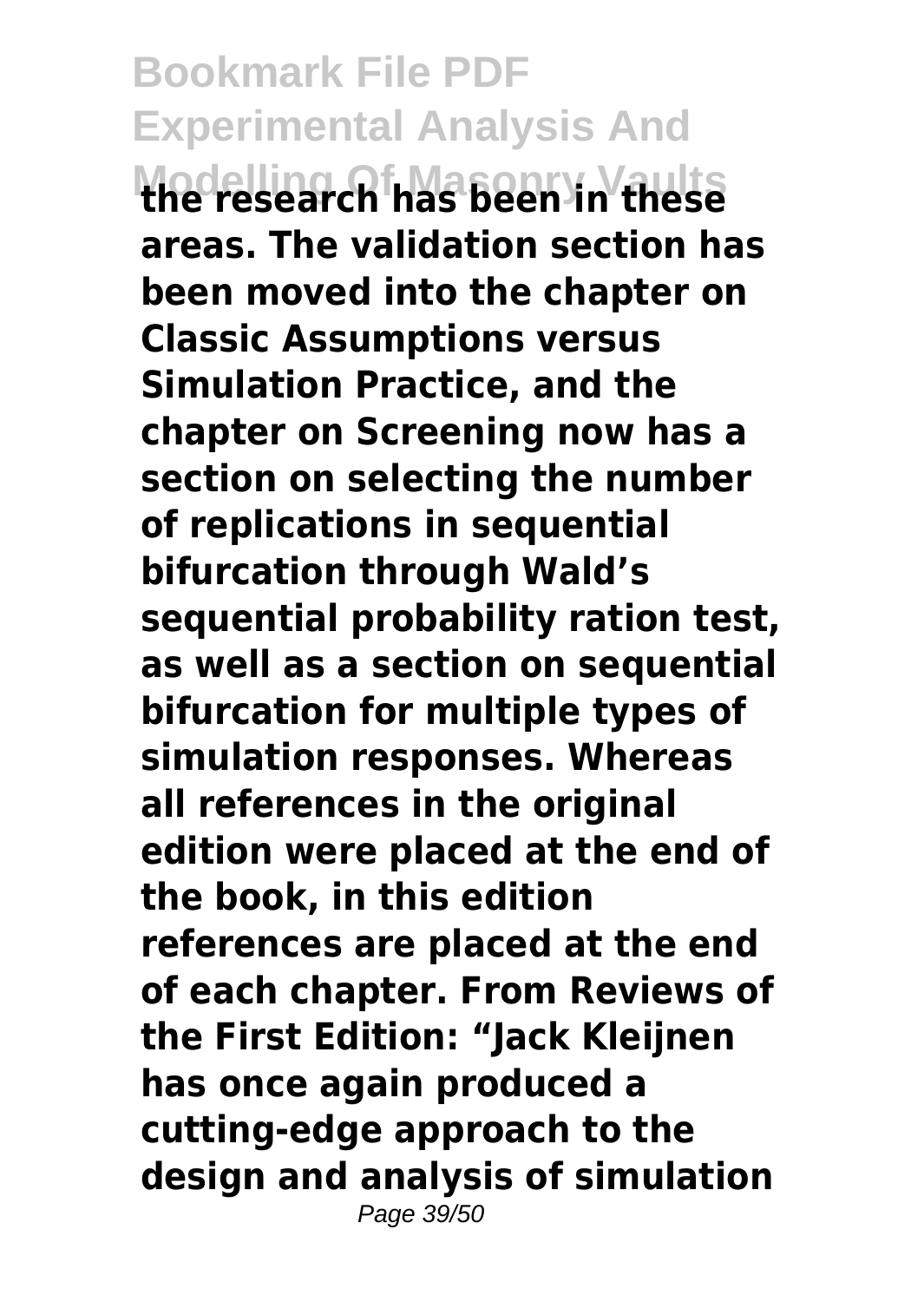**Bookmark File PDF Experimental Analysis And Modelling Of Masonry Vaults the research has been in these areas. The validation section has been moved into the chapter on Classic Assumptions versus Simulation Practice, and the chapter on Screening now has a section on selecting the number of replications in sequential bifurcation through Wald's sequential probability ration test, as well as a section on sequential bifurcation for multiple types of simulation responses. Whereas all references in the original edition were placed at the end of the book, in this edition references are placed at the end of each chapter. From Reviews of the First Edition: "Jack Kleijnen has once again produced a cutting-edge approach to the design and analysis of simulation** Page 39/50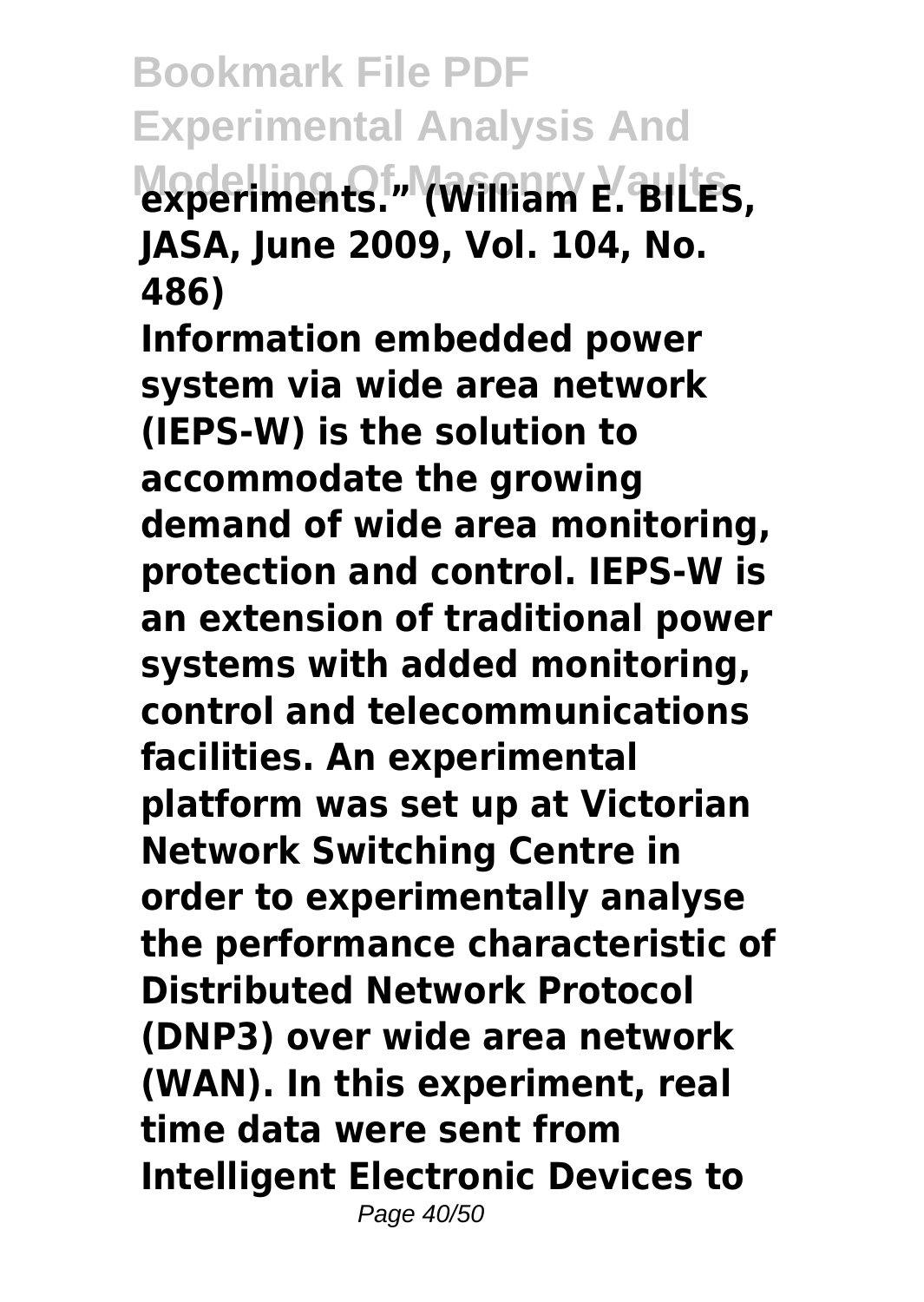**Bookmark File PDF Experimental Analysis And Modelling Of Masonry Vaults experiments." (William E. BILES, JASA, June 2009, Vol. 104, No. 486)**

**Information embedded power system via wide area network (IEPS-W) is the solution to accommodate the growing demand of wide area monitoring, protection and control. IEPS-W is an extension of traditional power systems with added monitoring, control and telecommunications facilities. An experimental platform was set up at Victorian Network Switching Centre in order to experimentally analyse the performance characteristic of Distributed Network Protocol (DNP3) over wide area network (WAN). In this experiment, real time data were sent from Intelligent Electronic Devices to** Page 40/50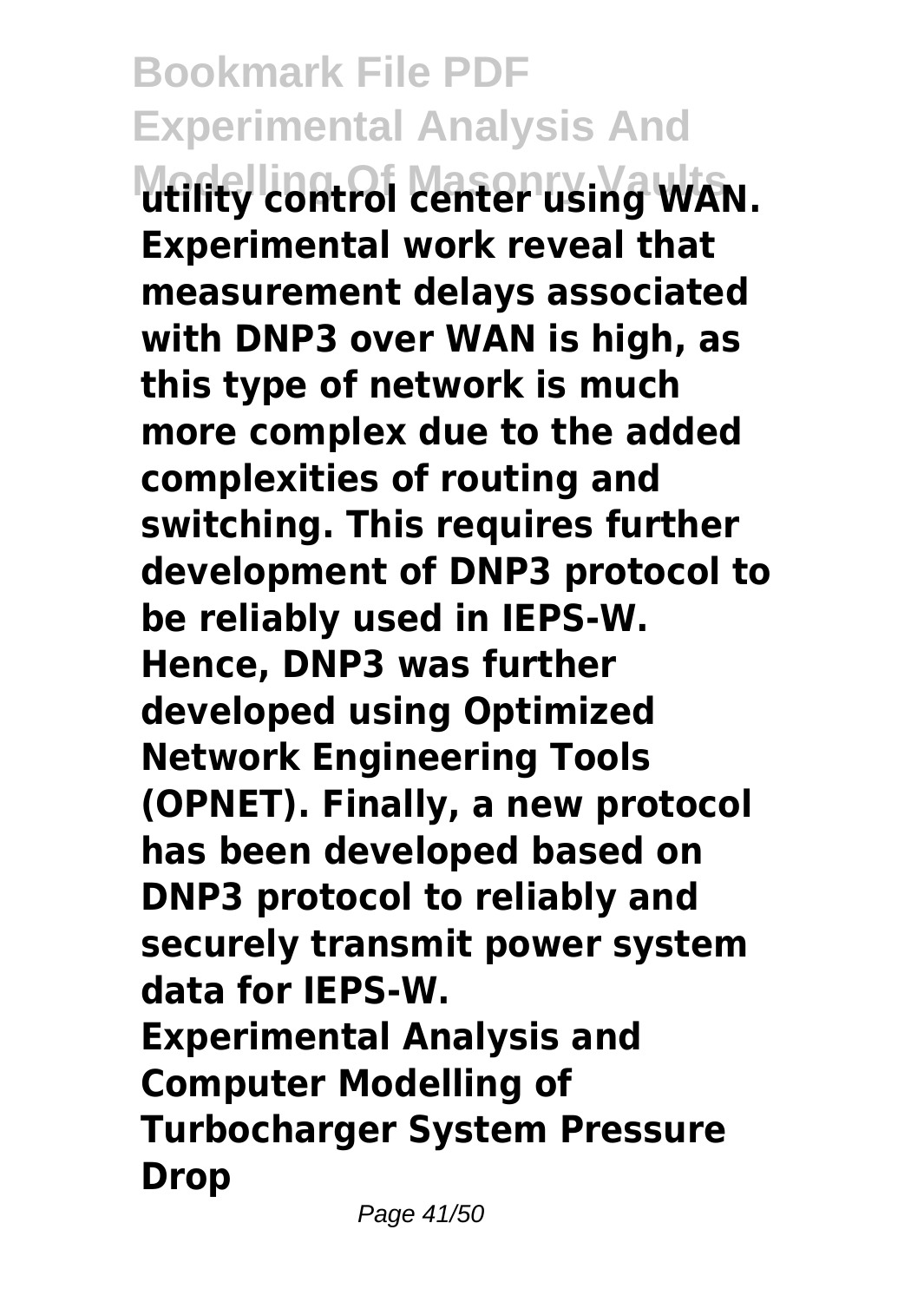**Bookmark File PDF Experimental Analysis And Modelling Of Masonry Vaults utility control center using WAN. Experimental work reveal that measurement delays associated with DNP3 over WAN is high, as this type of network is much more complex due to the added complexities of routing and switching. This requires further development of DNP3 protocol to be reliably used in IEPS-W. Hence, DNP3 was further developed using Optimized Network Engineering Tools (OPNET). Finally, a new protocol has been developed based on DNP3 protocol to reliably and securely transmit power system data for IEPS-W. Experimental Analysis and Computer Modelling of Turbocharger System Pressure Drop**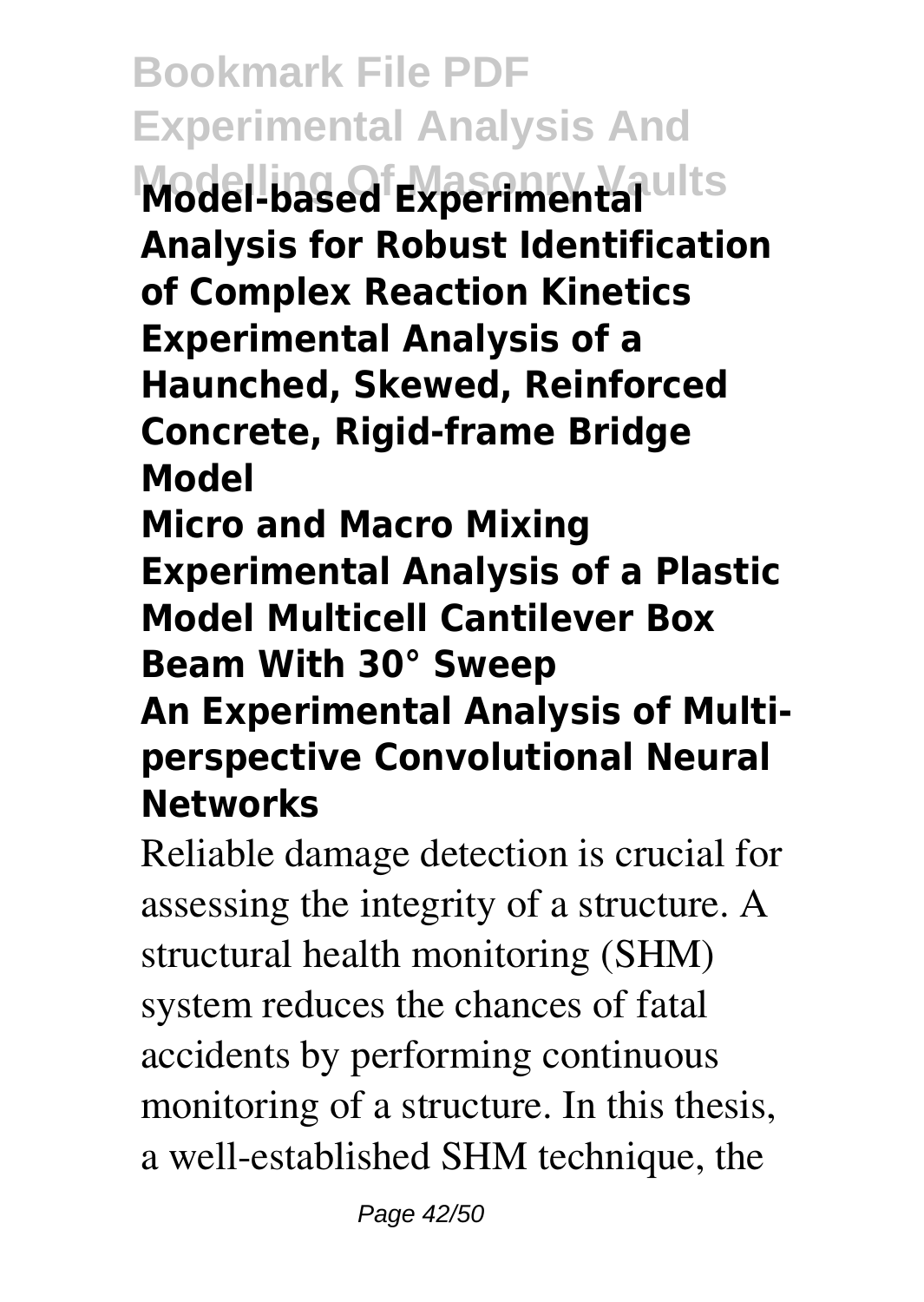**Bookmark File PDF Experimental Analysis And Model-based Experimental Analysis for Robust Identification of Complex Reaction Kinetics Experimental Analysis of a Haunched, Skewed, Reinforced Concrete, Rigid-frame Bridge Model**

**Micro and Macro Mixing Experimental Analysis of a Plastic Model Multicell Cantilever Box Beam With 30° Sweep An Experimental Analysis of Multiperspective Convolutional Neural**

## **Networks**

Reliable damage detection is crucial for assessing the integrity of a structure. A structural health monitoring (SHM) system reduces the chances of fatal accidents by performing continuous monitoring of a structure. In this thesis, a well-established SHM technique, the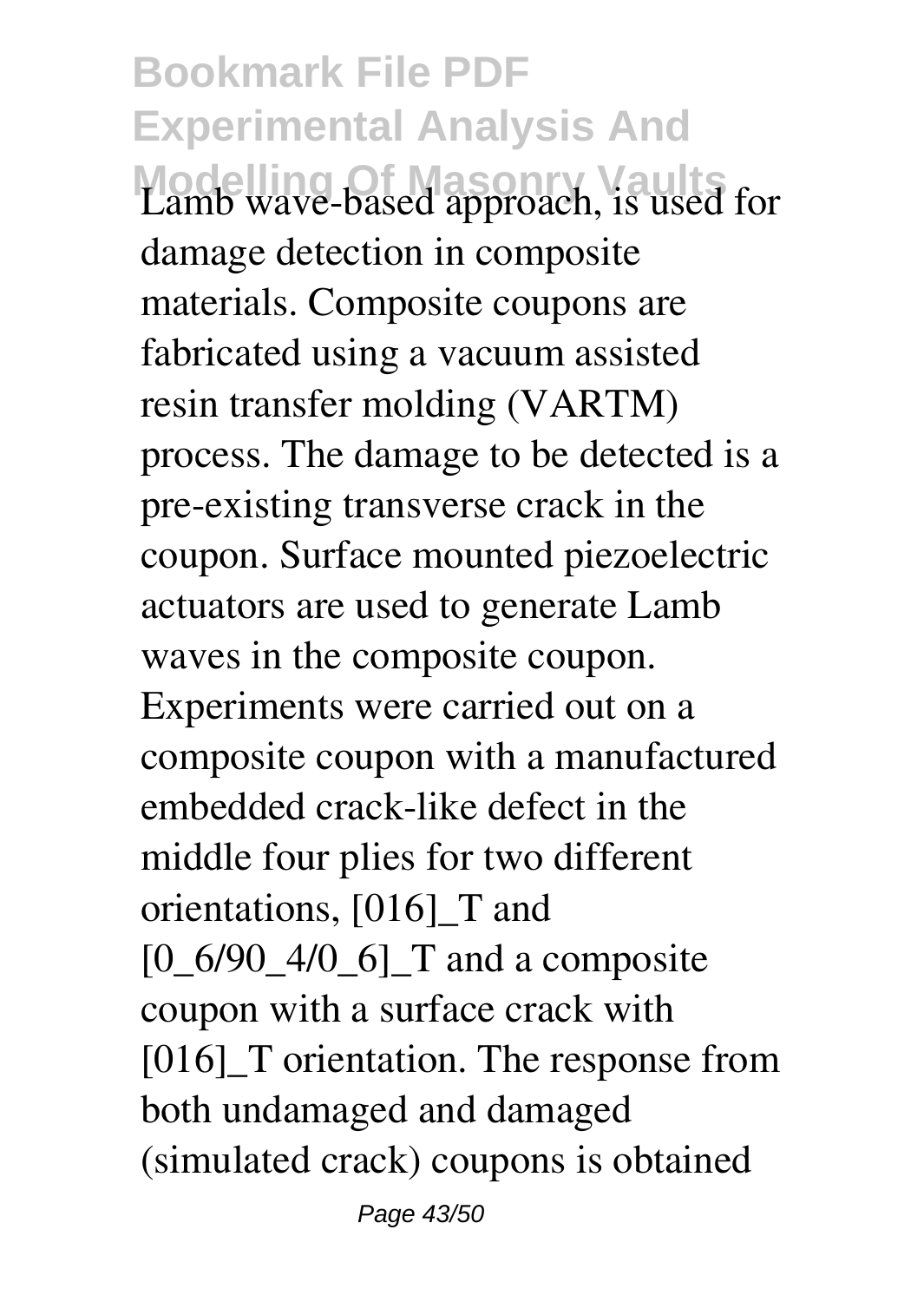**Bookmark File PDF Experimental Analysis And Modelling Of Masonry Vaults** Lamb wave-based approach, is used for damage detection in composite materials. Composite coupons are fabricated using a vacuum assisted resin transfer molding (VARTM) process. The damage to be detected is a pre-existing transverse crack in the coupon. Surface mounted piezoelectric actuators are used to generate Lamb waves in the composite coupon. Experiments were carried out on a composite coupon with a manufactured embedded crack-like defect in the middle four plies for two different orientations, [016]\_T and  $[0_6/90_4/0_6]$  T and a composite coupon with a surface crack with [016]<sup>T</sup> orientation. The response from both undamaged and damaged (simulated crack) coupons is obtained

Page 43/50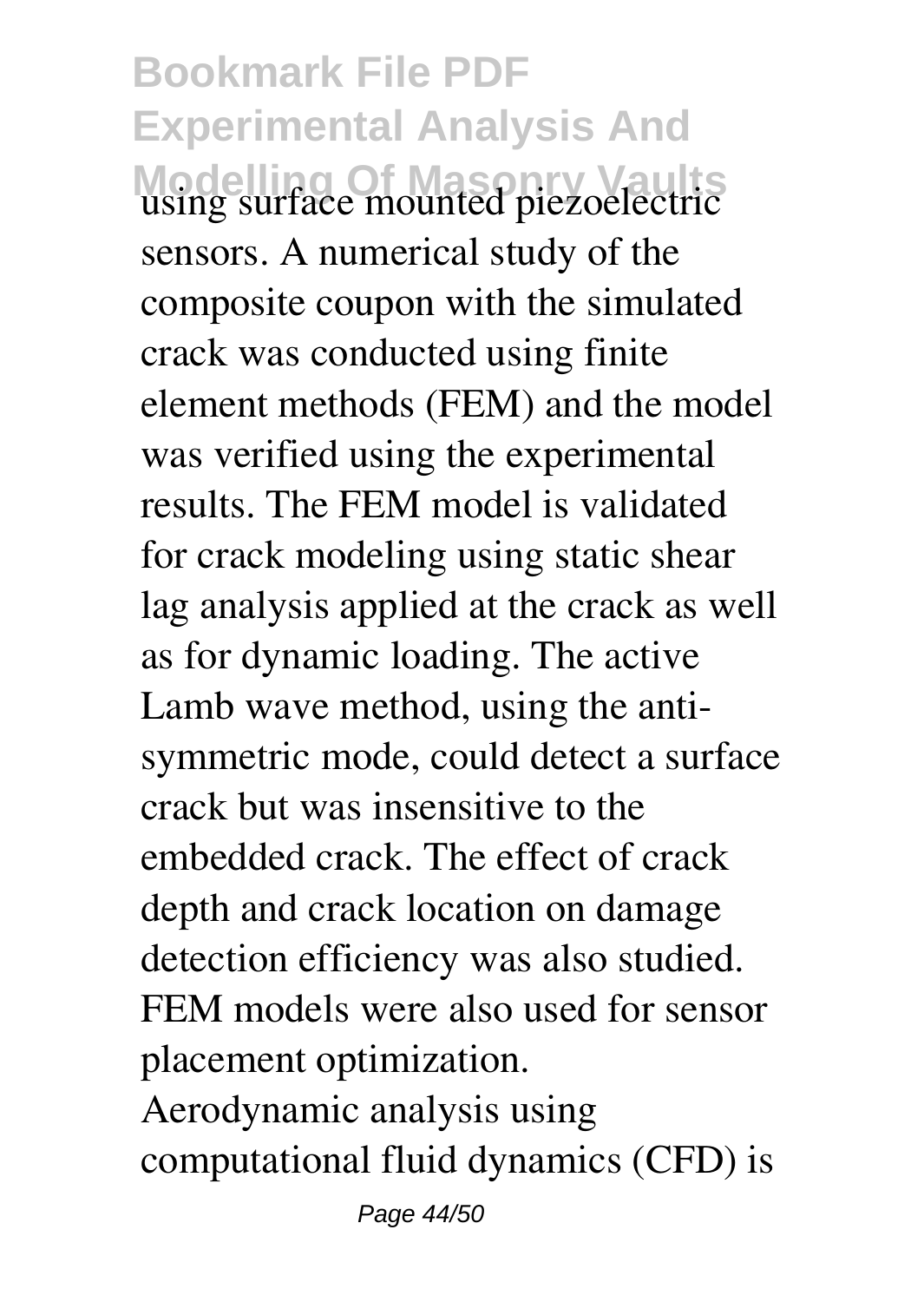**Bookmark File PDF Experimental Analysis And Modelling Of Masonry Vaults** using surface mounted piezoelectric sensors. A numerical study of the composite coupon with the simulated crack was conducted using finite element methods (FEM) and the model was verified using the experimental results. The FEM model is validated for crack modeling using static shear lag analysis applied at the crack as well as for dynamic loading. The active Lamb wave method, using the antisymmetric mode, could detect a surface crack but was insensitive to the embedded crack. The effect of crack depth and crack location on damage detection efficiency was also studied. FEM models were also used for sensor placement optimization. Aerodynamic analysis using

computational fluid dynamics (CFD) is

Page 44/50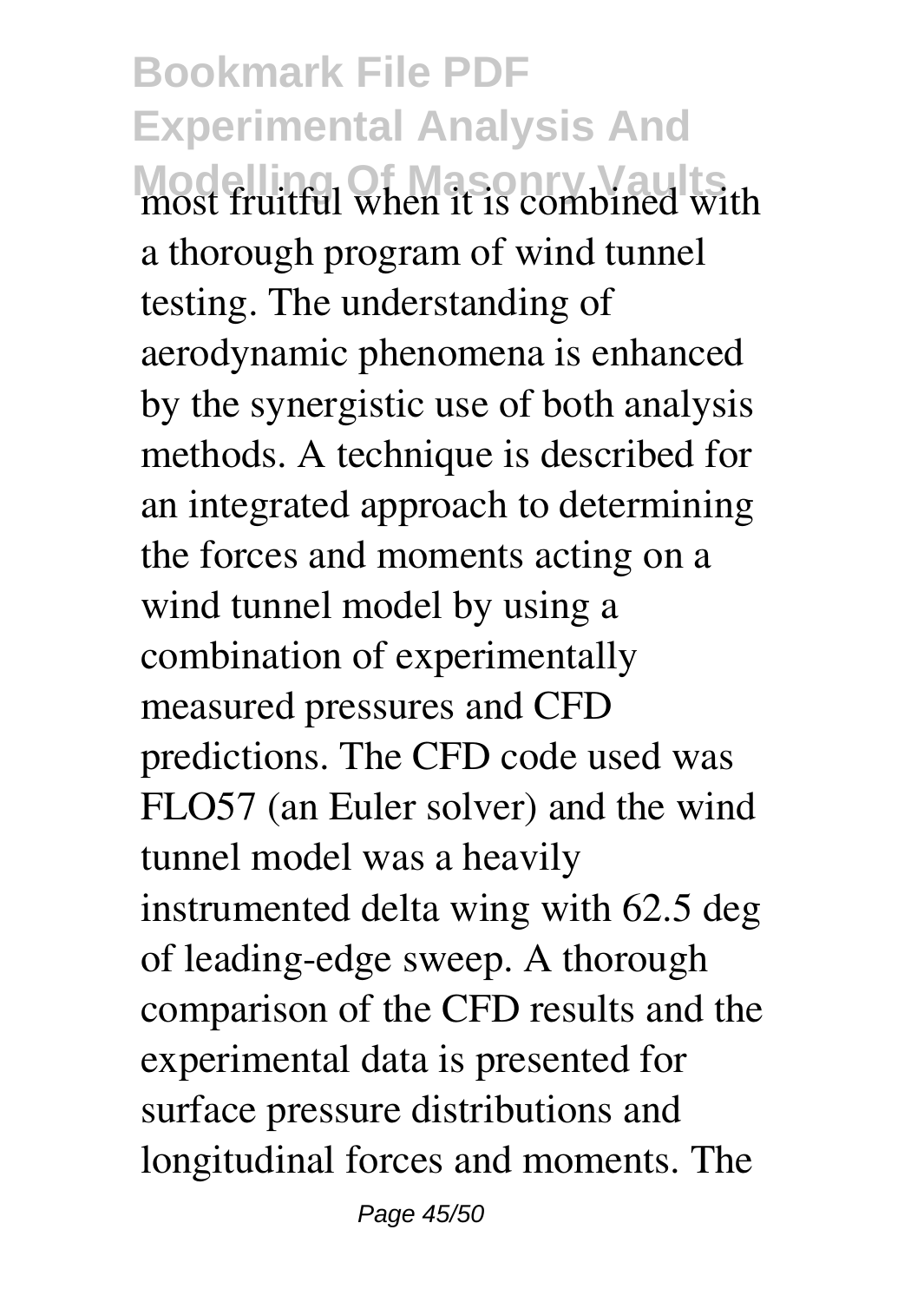**Bookmark File PDF Experimental Analysis And Modelling Of Masonry Vaults** most fruitful when it is combined with a thorough program of wind tunnel testing. The understanding of aerodynamic phenomena is enhanced by the synergistic use of both analysis methods. A technique is described for an integrated approach to determining the forces and moments acting on a wind tunnel model by using a combination of experimentally measured pressures and CFD predictions. The CFD code used was FLO57 (an Euler solver) and the wind tunnel model was a heavily instrumented delta wing with 62.5 deg of leading-edge sweep. A thorough comparison of the CFD results and the experimental data is presented for surface pressure distributions and longitudinal forces and moments. The

Page 45/50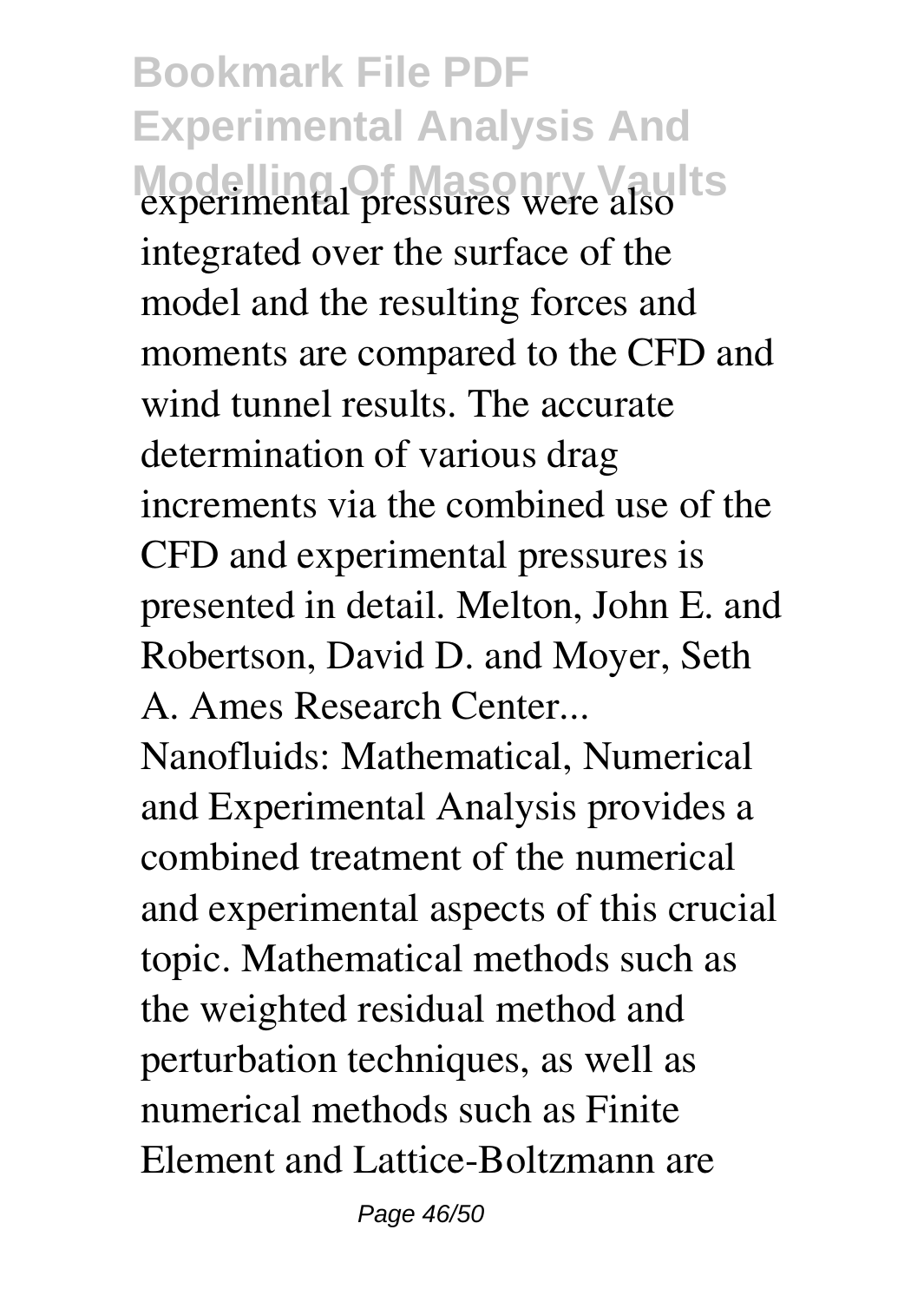**Bookmark File PDF Experimental Analysis And Modelling Of Masonry Vaults** experimental pressures were also integrated over the surface of the model and the resulting forces and moments are compared to the CFD and wind tunnel results. The accurate determination of various drag increments via the combined use of the CFD and experimental pressures is presented in detail. Melton, John E. and Robertson, David D. and Moyer, Seth A. Ames Research Center...

Nanofluids: Mathematical, Numerical and Experimental Analysis provides a combined treatment of the numerical and experimental aspects of this crucial topic. Mathematical methods such as the weighted residual method and perturbation techniques, as well as numerical methods such as Finite Element and Lattice-Boltzmann are

Page 46/50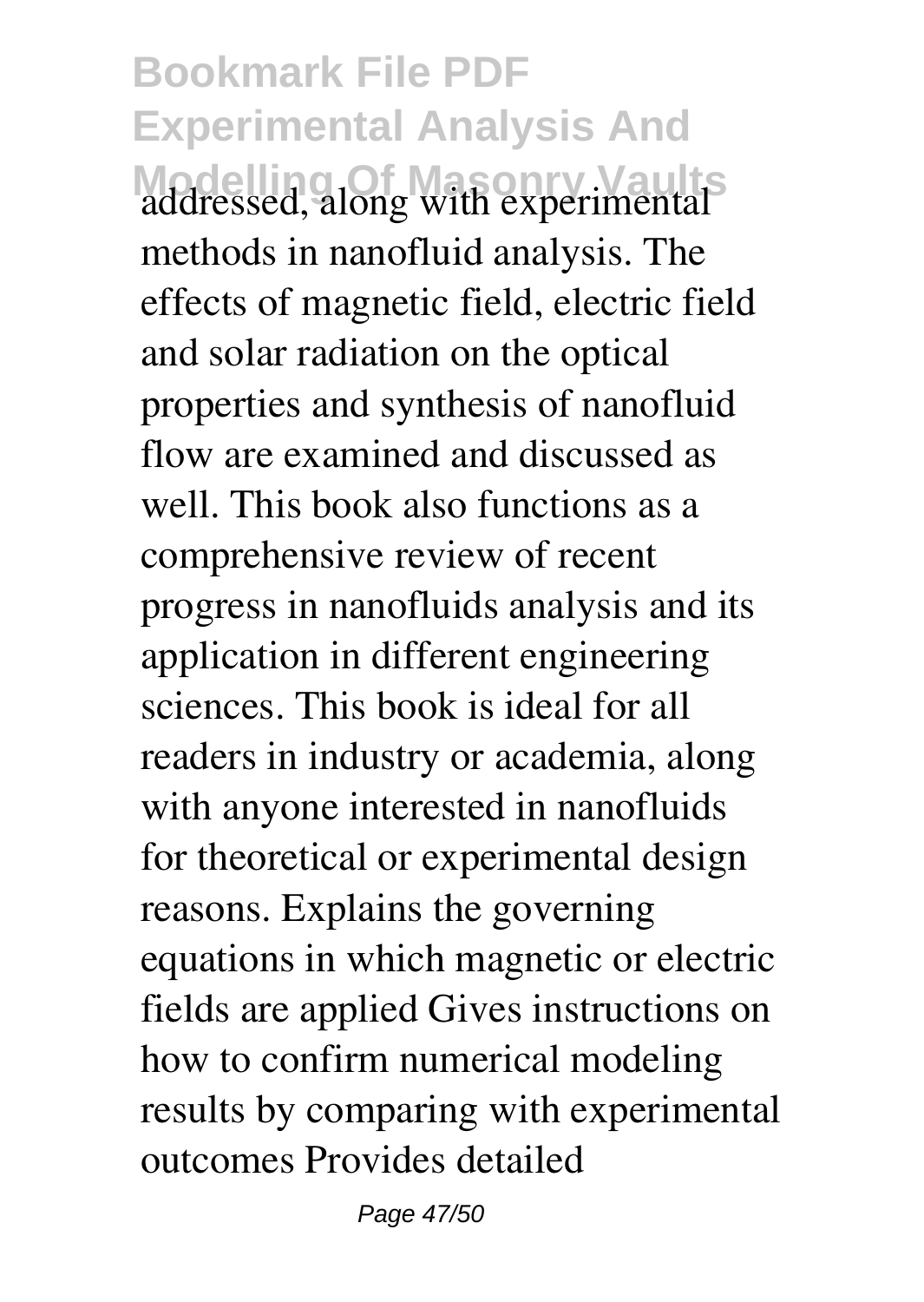**Bookmark File PDF Experimental Analysis And Modelling Of Masonry Vaults** addressed, along with experimental methods in nanofluid analysis. The effects of magnetic field, electric field and solar radiation on the optical properties and synthesis of nanofluid flow are examined and discussed as well. This book also functions as a comprehensive review of recent progress in nanofluids analysis and its application in different engineering sciences. This book is ideal for all readers in industry or academia, along with anyone interested in nanofluids for theoretical or experimental design reasons. Explains the governing equations in which magnetic or electric fields are applied Gives instructions on how to confirm numerical modeling results by comparing with experimental outcomes Provides detailed

Page 47/50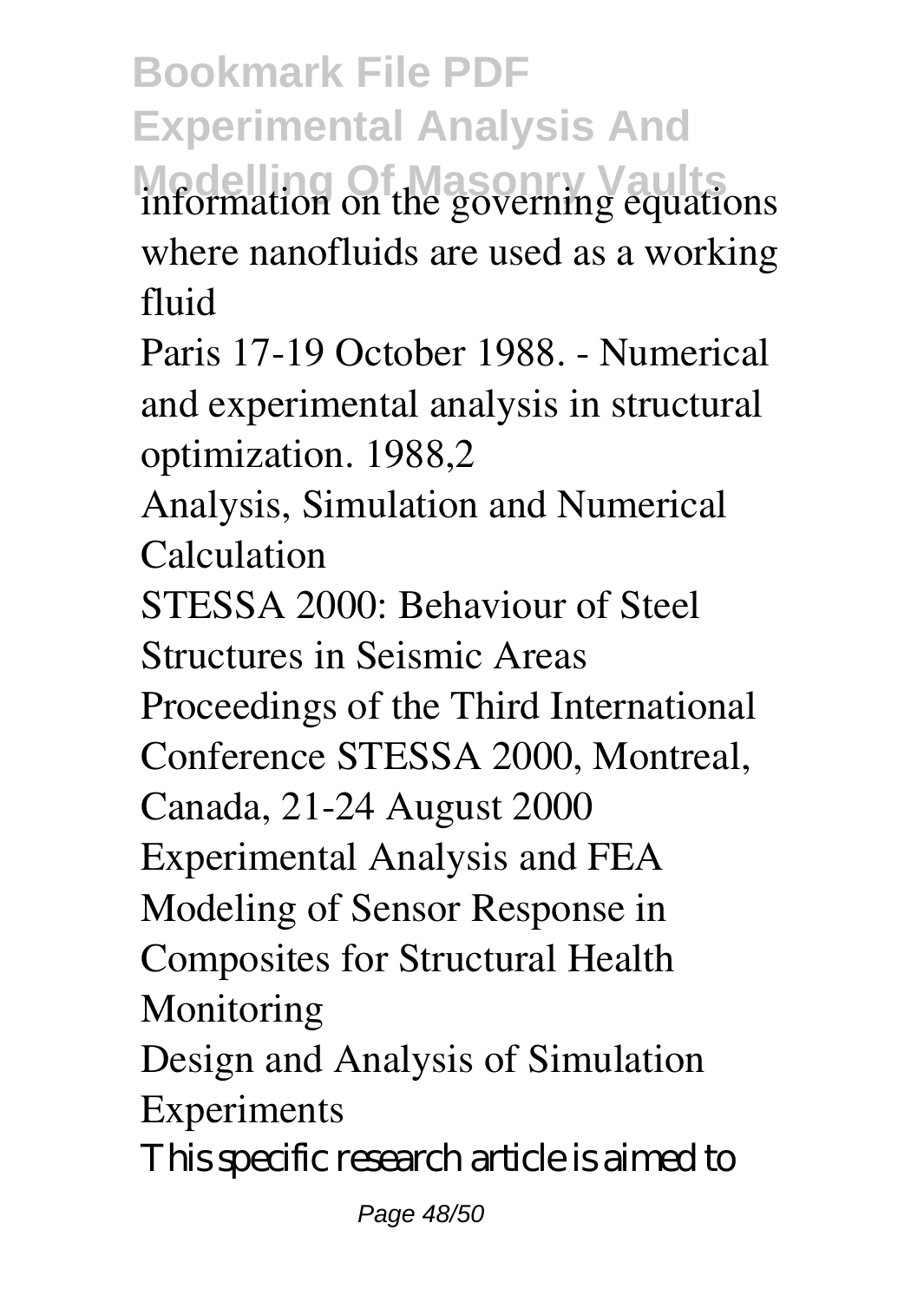**Bookmark File PDF Experimental Analysis And Modelling Of Masonry Vaults** information on the governing equations where nanofluids are used as a working fluid

Paris 17-19 October 1988. - Numerical and experimental analysis in structural optimization. 1988,2

Analysis, Simulation and Numerical Calculation

STESSA 2000: Behaviour of Steel Structures in Seismic Areas

Proceedings of the Third International

Conference STESSA 2000, Montreal,

Canada, 21-24 August 2000

Experimental Analysis and FEA

Modeling of Sensor Response in

Composites for Structural Health Monitoring

Design and Analysis of Simulation Experiments

This specific research article is aimed to

Page 48/50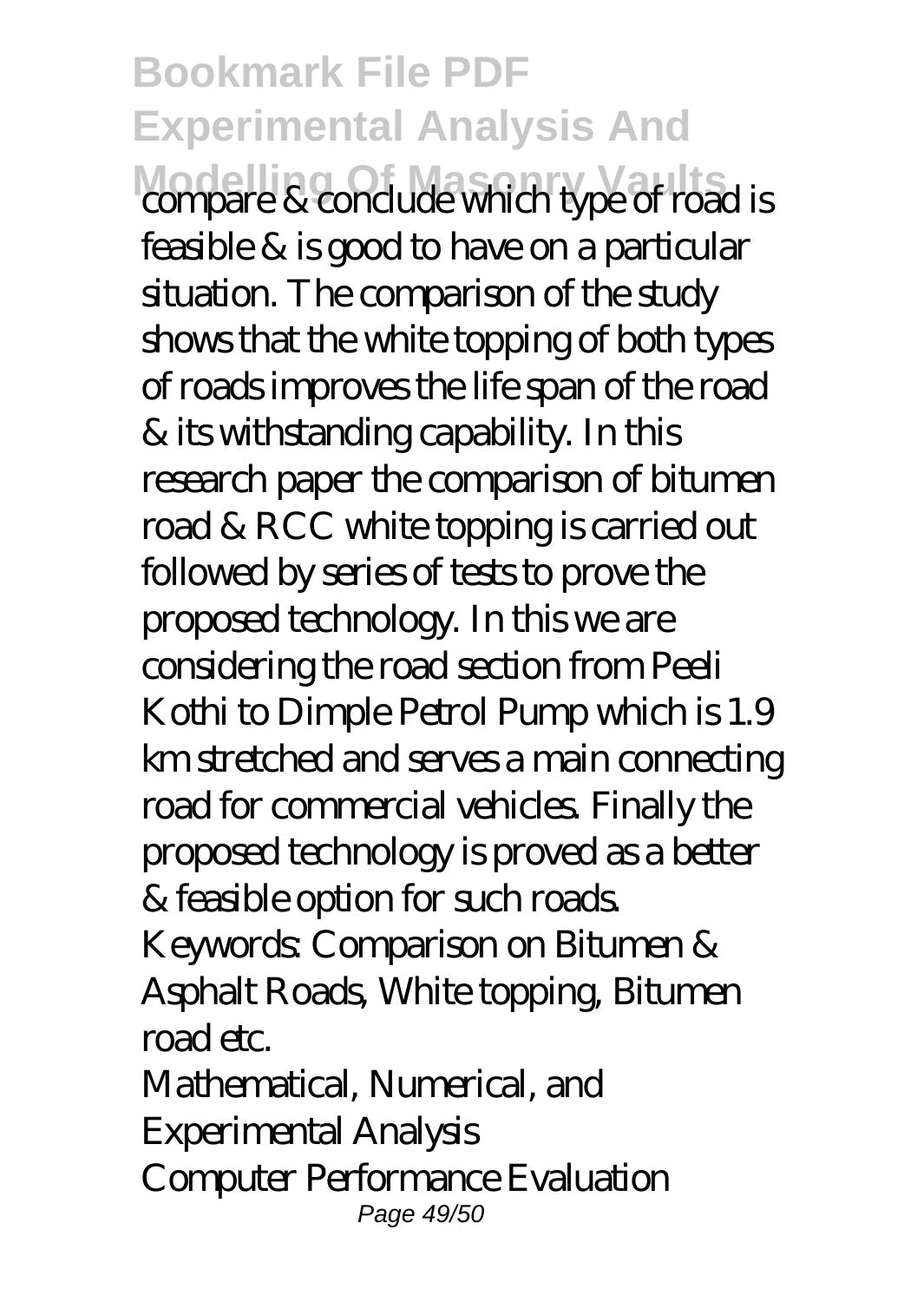**Bookmark File PDF Experimental Analysis And Modelling Of Masonry Vaults** compare & conclude which type of road is feasible & is good to have on a particular situation. The comparison of the study shows that the white topping of both types of roads improves the life span of the road & its withstanding capability. In this research paper the comparison of bitumen road & RCC white topping is carried out followed by series of tests to prove the proposed technology. In this we are considering the road section from Peeli Kothi to Dimple Petrol Pump which is 1.9 km stretched and serves a main connecting road for commercial vehicles. Finally the proposed technology is proved as a better & feasible option for such roads. Keywords: Comparison on Bitumen & Asphalt Roads, White topping, Bitumen road etc. Mathematical, Numerical, and

Experimental Analysis

Computer Performance Evaluation Page 49/50